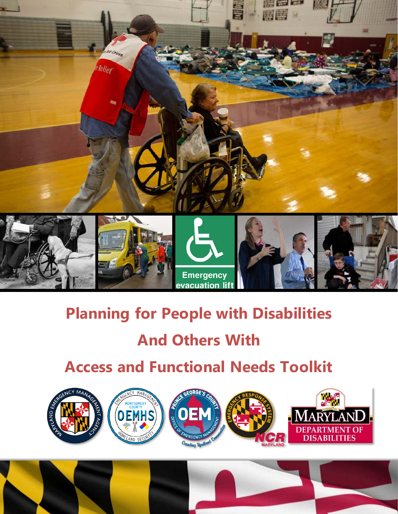

# **Planning for People with Disabilities**

# **And Others With**

# **Access and Functional Needs Toolkit**



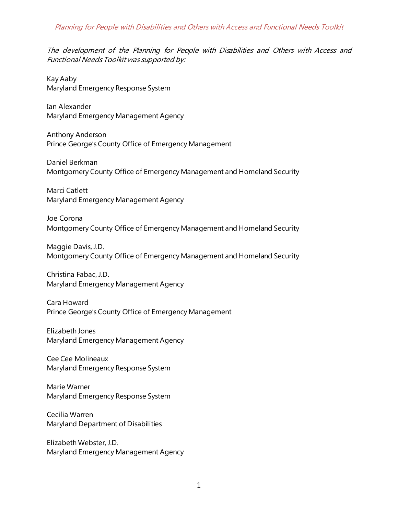### Planning for People with Disabilities and Others with Access and Functional Needs Toolkit

The development of the Planning for People with Disabilities and Others with Access and Functional Needs Toolkit was supported by:

Kay Aaby Maryland Emergency Response System

Ian Alexander Maryland Emergency Management Agency

Anthony Anderson Prince George's County Office of Emergency Management

Daniel Berkman Montgomery County Office of Emergency Management and Homeland Security

Marci Catlett Maryland Emergency Management Agency

Joe Corona Montgomery County Office of Emergency Management and Homeland Security

Maggie Davis, J.D. Montgomery County Office of Emergency Management and Homeland Security

Christina Fabac, J.D. Maryland Emergency Management Agency

Cara Howard Prince George's County Office of Emergency Management

Elizabeth Jones Maryland Emergency Management Agency

Cee Cee Molineaux Maryland Emergency Response System

Marie Warner Maryland Emergency Response System

Cecilia Warren Maryland Department of Disabilities

Elizabeth Webster, J.D. Maryland Emergency Management Agency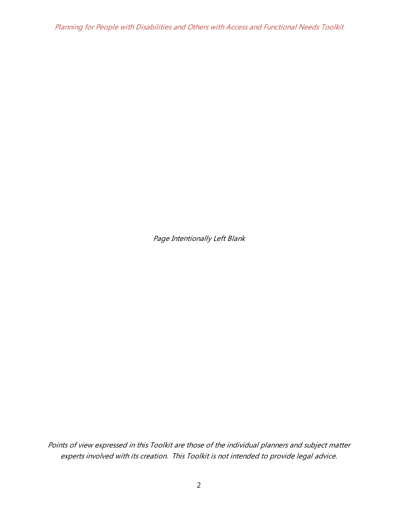Planning for People with Disabilities and Others with Access and Functional Needs Toolkit

Page Intentionally Left Blank

Points of view expressed in this Toolkit are those of the individual planners and subject matter experts involved with its creation. This Toolkit is not intended to provide legal advice.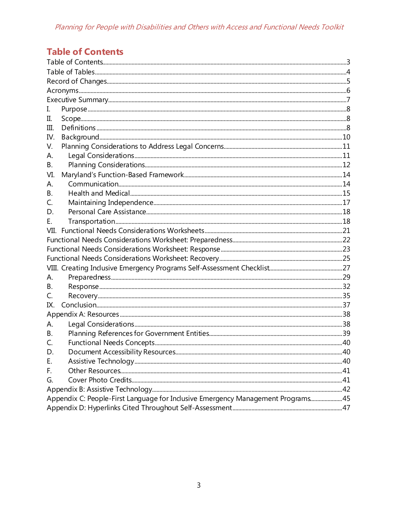# <span id="page-3-0"></span>**Table of Contents**

| I.        |                                                                                 |  |  |  |  |
|-----------|---------------------------------------------------------------------------------|--|--|--|--|
| П.        |                                                                                 |  |  |  |  |
| III.      |                                                                                 |  |  |  |  |
| IV.       |                                                                                 |  |  |  |  |
| V.        |                                                                                 |  |  |  |  |
| А.        |                                                                                 |  |  |  |  |
| В.        |                                                                                 |  |  |  |  |
| VI.       |                                                                                 |  |  |  |  |
| Α.        |                                                                                 |  |  |  |  |
| <b>B.</b> |                                                                                 |  |  |  |  |
| C.        |                                                                                 |  |  |  |  |
| D.        |                                                                                 |  |  |  |  |
| Е.        |                                                                                 |  |  |  |  |
| VII.      |                                                                                 |  |  |  |  |
|           |                                                                                 |  |  |  |  |
|           |                                                                                 |  |  |  |  |
|           |                                                                                 |  |  |  |  |
|           |                                                                                 |  |  |  |  |
| А.        |                                                                                 |  |  |  |  |
| В.        |                                                                                 |  |  |  |  |
| C.        |                                                                                 |  |  |  |  |
| IX.       |                                                                                 |  |  |  |  |
|           |                                                                                 |  |  |  |  |
| А.        |                                                                                 |  |  |  |  |
| В.        |                                                                                 |  |  |  |  |
| Ċ.        |                                                                                 |  |  |  |  |
| D.        |                                                                                 |  |  |  |  |
| Ε.        |                                                                                 |  |  |  |  |
| F.        |                                                                                 |  |  |  |  |
| G.        |                                                                                 |  |  |  |  |
|           |                                                                                 |  |  |  |  |
|           | Appendix C: People-First Language for Inclusive Emergency Management Programs45 |  |  |  |  |
|           |                                                                                 |  |  |  |  |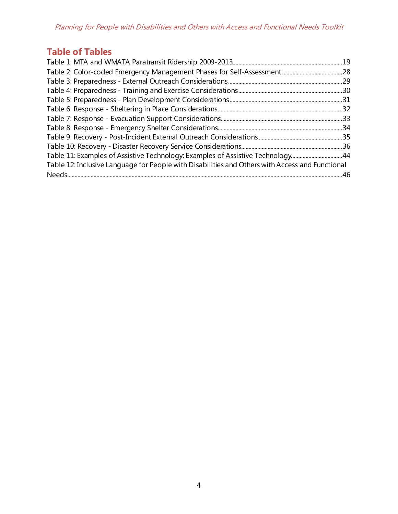Planning for People with Disabilities and Others with Access and Functional Needs Toolkit

# <span id="page-4-0"></span>**Table of Tables**

| Table 11: Examples of Assistive Technology: Examples of Assistive Technology44                  |  |
|-------------------------------------------------------------------------------------------------|--|
| Table 12: Inclusive Language for People with Disabilities and Others with Access and Functional |  |
|                                                                                                 |  |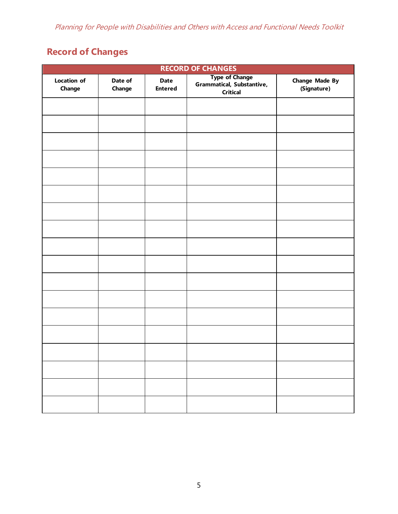# <span id="page-5-0"></span>**Record of Changes**

| <b>RECORD OF CHANGES</b>     |                   |                               |                                                                |                                      |  |
|------------------------------|-------------------|-------------------------------|----------------------------------------------------------------|--------------------------------------|--|
| <b>Location of</b><br>Change | Date of<br>Change | <b>Date</b><br><b>Entered</b> | Type of Change<br>Grammatical, Substantive,<br><b>Critical</b> | <b>Change Made By</b><br>(Signature) |  |
|                              |                   |                               |                                                                |                                      |  |
|                              |                   |                               |                                                                |                                      |  |
|                              |                   |                               |                                                                |                                      |  |
|                              |                   |                               |                                                                |                                      |  |
|                              |                   |                               |                                                                |                                      |  |
|                              |                   |                               |                                                                |                                      |  |
|                              |                   |                               |                                                                |                                      |  |
|                              |                   |                               |                                                                |                                      |  |
|                              |                   |                               |                                                                |                                      |  |
|                              |                   |                               |                                                                |                                      |  |
|                              |                   |                               |                                                                |                                      |  |
|                              |                   |                               |                                                                |                                      |  |
|                              |                   |                               |                                                                |                                      |  |
|                              |                   |                               |                                                                |                                      |  |
|                              |                   |                               |                                                                |                                      |  |
|                              |                   |                               |                                                                |                                      |  |
|                              |                   |                               |                                                                |                                      |  |
|                              |                   |                               |                                                                |                                      |  |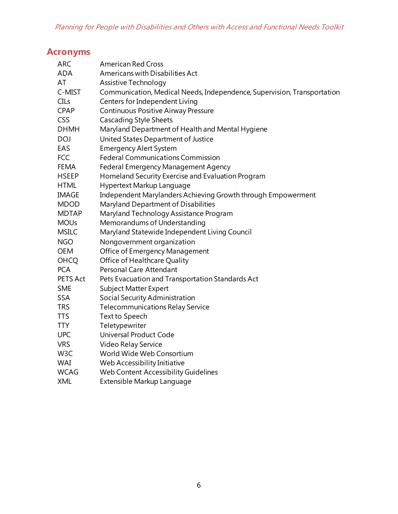# <span id="page-6-0"></span>**Acronyms**

| <b>ARC</b>       | <b>American Red Cross</b>                                               |
|------------------|-------------------------------------------------------------------------|
| <b>ADA</b>       | Americans with Disabilities Act                                         |
| AT               | Assistive Technology                                                    |
| C-MIST           | Communication, Medical Needs, Independence, Supervision, Transportation |
| CILs             | Centers for Independent Living                                          |
| <b>CPAP</b>      | Continuous Positive Airway Pressure                                     |
| <b>CSS</b>       | <b>Cascading Style Sheets</b>                                           |
| <b>DHMH</b>      | Maryland Department of Health and Mental Hygiene                        |
| <b>DOJ</b>       | United States Department of Justice                                     |
| EAS              | <b>Emergency Alert System</b>                                           |
| <b>FCC</b>       | <b>Federal Communications Commission</b>                                |
| <b>FEMA</b>      | Federal Emergency Management Agency                                     |
| <b>HSEEP</b>     | Homeland Security Exercise and Evaluation Program                       |
| <b>HTML</b>      | Hypertext Markup Language                                               |
| <b>IMAGE</b>     | Independent Marylanders Achieving Growth through Empowerment            |
| <b>MDOD</b>      | Maryland Department of Disabilities                                     |
| <b>MDTAP</b>     | Maryland Technology Assistance Program                                  |
| <b>MOUs</b>      | Memorandums of Understanding                                            |
| <b>MSILC</b>     | Maryland Statewide Independent Living Council                           |
| <b>NGO</b>       | Nongovernment organization                                              |
| <b>OEM</b>       | Office of Emergency Management                                          |
| <b>OHCQ</b>      | Office of Healthcare Quality                                            |
| <b>PCA</b>       | Personal Care Attendant                                                 |
| PETS Act         | Pets Evacuation and Transportation Standards Act                        |
| <b>SME</b>       | <b>Subject Matter Expert</b>                                            |
| <b>SSA</b>       | Social Security Administration                                          |
| <b>TRS</b>       | <b>Telecommunications Relay Service</b>                                 |
| <b>TTS</b>       | Text to Speech                                                          |
| <b>TTY</b>       | Teletypewriter                                                          |
| <b>UPC</b>       | Universal Product Code                                                  |
| <b>VRS</b>       | Video Relay Service                                                     |
| W <sub>3</sub> C | World Wide Web Consortium                                               |
| <b>WAI</b>       | Web Accessibility Initiative                                            |
| <b>WCAG</b>      | Web Content Accessibility Guidelines                                    |
| <b>XML</b>       | Extensible Markup Language                                              |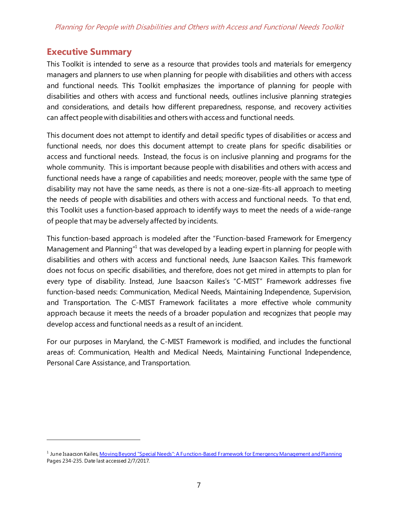# <span id="page-7-0"></span>**Executive Summary**

 $\overline{a}$ 

This Toolkit is intended to serve as a resource that provides tools and materials for emergency managers and planners to use when planning for people with disabilities and others with access and functional needs. This Toolkit emphasizes the importance of planning for people with disabilities and others with access and functional needs, outlines inclusive planning strategies and considerations, and details how different preparedness, response, and recovery activities can affect people with disabilities and others with access and functional needs.

This document does not attempt to identify and detail specific types of disabilities or access and functional needs, nor does this document attempt to create plans for specific disabilities or access and functional needs. Instead, the focus is on inclusive planning and programs for the whole community. This is important because people with disabilities and others with access and functional needs have a range of capabilities and needs; moreover, people with the same type of disability may not have the same needs, as there is not a one-size-fits-all approach to meeting the needs of people with disabilities and others with access and functional needs. To that end, this Toolkit uses a function-based approach to identify ways to meet the needs of a wide-range of people that may be adversely affected by incidents.

This function-based approach is modeled after the "Function-based Framework for Emergency Management and Planning<sup>["1](#page-7-1)</sup> that was developed by a leading expert in planning for people with disabilities and others with access and functional needs, June Isaacson Kailes. This framework does not focus on specific disabilities, and therefore, does not get mired in attempts to plan for every type of disability. Instead, June Isaacson Kailes's "C-MIST" Framework addresses five function-based needs: Communication, Medical Needs, Maintaining Independence, Supervision, and Transportation. The C-MIST Framework facilitates a more effective whole community approach because it meets the needs of a broader population and recognizes that people may develop access and functional needs as a result of an incident.

For our purposes in Maryland, the C-MIST Framework is modified, and includes the functional areas of: Communication, Health and Medical Needs, Maintaining Functional Independence, Personal Care Assistance, and Transportation.

<span id="page-7-1"></span><sup>&</sup>lt;sup>1</sup> June Isaacson Kaile[s, Moving Beyond "Special Needs": A Function-Based Framework for Emergency Management and Planning](http://www.jik.com/KailesEndersbeyond.pdf) Pages 234-235. Date last accessed 2/7/2017.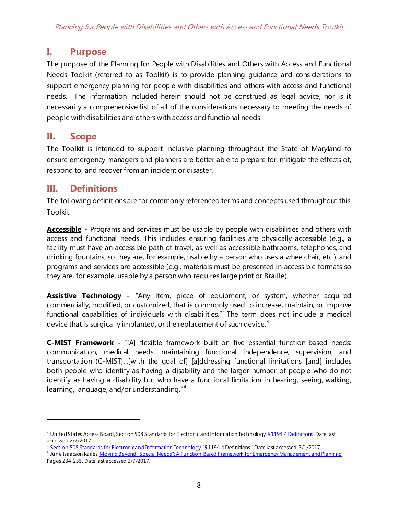# <span id="page-8-0"></span>**I. Purpose**

The purpose of the Planning for People with Disabilities and Others with Access and Functional Needs Toolkit (referred to as Toolkit) is to provide planning guidance and considerations to support emergency planning for people with disabilities and others with access and functional needs. The information included herein should not be construed as legal advice, nor is it necessarily a comprehensive list of all of the considerations necessary to meeting the needs of people with disabilities and others with access and functional needs.

# <span id="page-8-1"></span>**II. Scope**

The Toolkit is intended to support inclusive planning throughout the State of Maryland to ensure emergency managers and planners are better able to prepare for, mitigate the effects of, respond to, and recover from an incident or disaster.

# <span id="page-8-2"></span>**III. Definitions**

 $\overline{a}$ 

The following definitions are for commonly referenced terms and concepts used throughout this Toolkit.

**Accessible -** Programs and services must be usable by people with disabilities and others with access and functional needs. This includes ensuring facilities are physically accessible (e.g., a facility must have an accessible path of travel, as well as accessible bathrooms, telephones, and drinking fountains, so they are, for example, usable by a person who uses a wheelchair, etc.), and programs and services are accessible (e.g., materials must be presented in accessible formats so they are, for example, usable by a person who requires large print or Braille).

**Assistive Technology -** "Any item, piece of equipment, or system, whether acquired commercially, modified, or customized, that is commonly used to increase, maintain, or improve functional capabilities of individuals with disabilities."<sup>[2](#page-8-3)</sup> The term does not include a medical device that is surgically implanted, or the replacement of such device. $3$ 

**C-MIST Framework -** "[A] flexible framework built on five essential function-based needs: communication, medical needs, maintaining functional independence, supervision, and transportation (C-MIST)…[with the goal of] [a]ddressing functional limitations [and] includes both people who identify as having a disability and the larger number of people who do not identify as having a disability but who have a functional limitation in hearing, seeing, walking, learning, language, and/or understanding." [4](#page-8-5)

<span id="page-8-3"></span><sup>&</sup>lt;sup>2</sup> United States Access Board, Section 508 Standards for Electronic and Information Technolog[y, § 1194.4 Definitions.](https://www.access-board.gov/guidelines-and-standards/communications-and-it/about-the-section-508-standards/section-508-standards#subpart_a) Date last accessed 2/7/2017.

<span id="page-8-4"></span><sup>&</sup>lt;sup>3</sup> [Section 508 Standards for Electronic and Information Technology](https://www.section508.gov/sites/default/files/Section%20508%20Basic%20Authoring%20and%20Testing%20Guide%20Word%202010%20v%201.0%201.29.2015%20FINAL.docx). "§ 1194.4 Definitions." Date last accessed, 3/1/2017.

<span id="page-8-5"></span><sup>&</sup>lt;sup>4</sup> June Isaacson Kaile[s. Moving Beyond "Special Needs": A Function-Based Framework for Emergency Management and Planning](http://www.jik.com/KailesEndersbeyond.pdf) Pages 234-235. Date last accessed 2/7/2017.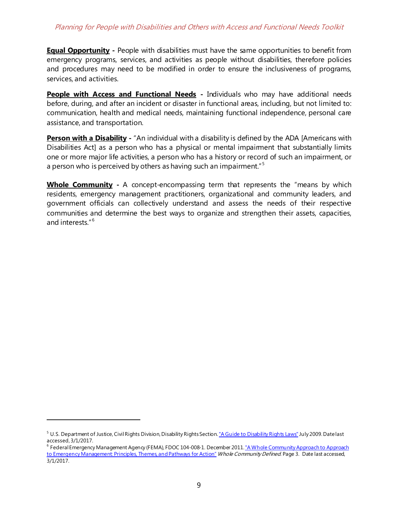**Equal Opportunity -** People with disabilities must have the same opportunities to benefit from emergency programs, services, and activities as people without disabilities, therefore policies and procedures may need to be modified in order to ensure the inclusiveness of programs, services, and activities.

**People with Access and Functional Needs** - Individuals who may have additional needs before, during, and after an incident or disaster in functional areas, including, but not limited to: communication, health and medical needs, maintaining functional independence, personal care assistance, and transportation.

**Person with a Disability** - "An individual with a disability is defined by the ADA [Americans with Disabilities Act] as a person who has a physical or mental impairment that substantially limits one or more major life activities, a person who has a history or record of such an impairment, or a person who is perceived by others as having such an impairment." <sup>[5](#page-9-0)</sup>

**Whole Community -** A concept-encompassing term that represents the "means by which residents, emergency management practitioners, organizational and community leaders, and government officials can collectively understand and assess the needs of their respective communities and determine the best ways to organize and strengthen their assets, capacities, and interests." [6](#page-9-1)

<span id="page-9-0"></span><sup>&</sup>lt;sup>5</sup> U.S. Department of Justice, Civil Rights Division, Disability Rights Sectio[n. "A Guide to Disability Rights Laws"](http://www.ada.gov/cguide.htm) July 2009. Date last accessed, 3/1/2017.

<span id="page-9-1"></span><sup>6</sup> Federal Emergency Management Agency (FEMA), FDOC 104-008-1. December 201[1. "A Whole Community Approach to Approach](http://www.fema.gov/media-library-data/20130726-1813-25045-0649/whole_community_dec2011__2_.pdf)  [to Emergency Management: Principles, Themes, and Pathways for Action"](http://www.fema.gov/media-library-data/20130726-1813-25045-0649/whole_community_dec2011__2_.pdf) Whole Community Defined. Page 3. Date last accessed, 3/1/2017.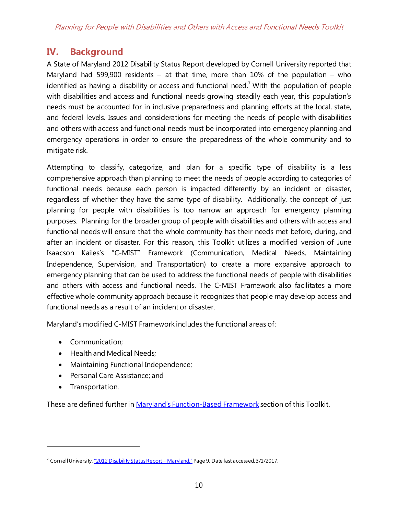# <span id="page-10-0"></span>**IV. Background**

A State of Maryland 2012 Disability Status Report developed by Cornell University reported that Maryland had 599,900 residents – at that time, more than  $10\%$  of the population – who identified as having a disability or access and functional need.<sup>[7](#page-10-1)</sup> With the population of people with disabilities and access and functional needs growing steadily each year, this population's needs must be accounted for in inclusive preparedness and planning efforts at the local, state, and federal levels. Issues and considerations for meeting the needs of people with disabilities and others with access and functional needs must be incorporated into emergency planning and emergency operations in order to ensure the preparedness of the whole community and to mitigate risk.

Attempting to classify, categorize, and plan for a specific type of disability is a less comprehensive approach than planning to meet the needs of people according to categories of functional needs because each person is impacted differently by an incident or disaster, regardless of whether they have the same type of disability. Additionally, the concept of just planning for people with disabilities is too narrow an approach for emergency planning purposes. Planning for the broader group of people with disabilities and others with access and functional needs will ensure that the whole community has their needs met before, during, and after an incident or disaster. For this reason, this Toolkit utilizes a modified version of June Isaacson Kailes's "C-MIST" Framework (Communication, Medical Needs, Maintaining Independence, Supervision, and Transportation) to create a more expansive approach to emergency planning that can be used to address the functional needs of people with disabilities and others with access and functional needs. The C-MIST Framework also facilitates a more effective whole community approach because it recognizes that people may develop access and functional needs as a result of an incident or disaster.

Maryland's modified C-MIST Framework includes the functional areas of:

- Communication;
- Health and Medical Needs;
- Maintaining Functional Independence;
- Personal Care Assistance; and
- Transportation.

 $\overline{a}$ 

These are defined further in [Maryland's Function-Based Framework](#page-14-0) section of this Toolkit.

<span id="page-10-1"></span><sup>&</sup>lt;sup>7</sup> Cornell Universit[y. "2012 Disability Status Report –](http://www.disabilitystatistics.org/StatusReports/2012-PDF/2012-StatusReport_MD.pdf) Maryland." Page 9. Date last accessed, 3/1/2017.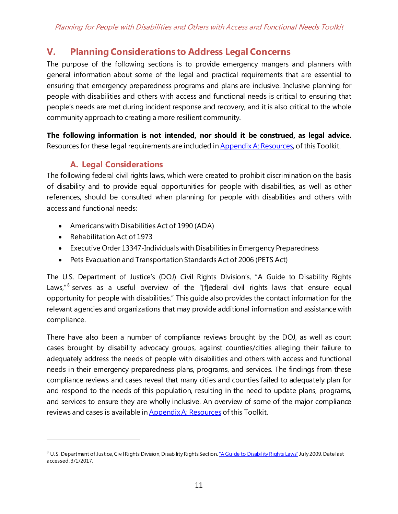# <span id="page-11-0"></span>**V. Planning Considerations to Address Legal Concerns**

The purpose of the following sections is to provide emergency mangers and planners with general information about some of the legal and practical requirements that are essential to ensuring that emergency preparedness programs and plans are inclusive. Inclusive planning for people with disabilities and others with access and functional needs is critical to ensuring that people's needs are met during incident response and recovery, and it is also critical to the whole community approach to creating a more resilient community.

**The following information is not intended, nor should it be construed, as legal advice.**  Resources for these legal requirements are included in **Appendix A: Resources**, of this Toolkit.

# **A. Legal Considerations**

<span id="page-11-1"></span>The following federal civil rights laws, which were created to prohibit discrimination on the basis of disability and to provide equal opportunities for people with disabilities, as well as other references, should be consulted when planning for people with disabilities and others with access and functional needs:

- Americans with Disabilities Act of 1990 (ADA)
- Rehabilitation Act of 1973

 $\overline{a}$ 

- Executive Order 13347-Individuals with Disabilities in Emergency Preparedness
- Pets Evacuation and Transportation Standards Act of 2006 (PETS Act)

The U.S. Department of Justice's (DOJ) Civil Rights Division's, "A Guide to Disability Rights Laws,"<sup>[8](#page-11-2)</sup> serves as a useful overview of the "[f]ederal civil rights laws that ensure equal opportunity for people with disabilities." This guide also provides the contact information for the relevant agencies and organizations that may provide additional information and assistance with compliance.

There have also been a number of compliance reviews brought by the DOJ, as well as court cases brought by disability advocacy groups, against counties/cities alleging their failure to adequately address the needs of people with disabilities and others with access and functional needs in their emergency preparedness plans, programs, and services. The findings from these compliance reviews and cases reveal that many cities and counties failed to adequately plan for and respond to the needs of this population, resulting in the need to update plans, programs, and services to ensure they are wholly inclusive. An overview of some of the major compliance reviews and cases is available in **Appendix A: Resources** of this Toolkit.

<span id="page-11-2"></span><sup>&</sup>lt;sup>8</sup> U.S. Department of Justice, Civil Rights Division, Disability Rights Sectio[n. "A Guide to Disability Rights Laws"](http://www.ada.gov/cguide.htm) July 2009. Date last accessed, 3/1/2017.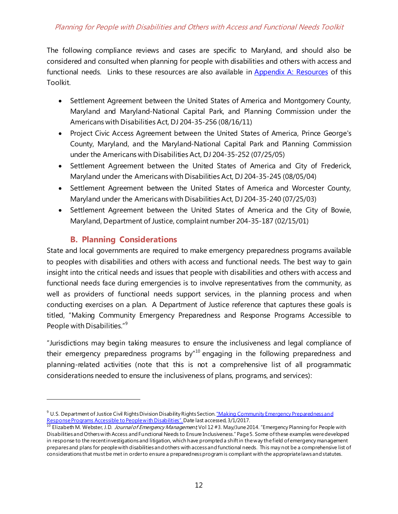The following compliance reviews and cases are specific to Maryland, and should also be considered and consulted when planning for people with disabilities and others with access and functional needs. Links to these resources are also available in [Appendix A: Resources](#page-37-0) of this Toolkit.

- Settlement Agreement between the United States of America and Montgomery County, Maryland and Maryland-National Capital Park, and Planning Commission under the Americans with Disabilities Act, DJ 204-35-256 (08/16/11)
- Project Civic Access Agreement between the United States of America, Prince George's County, Maryland, and the Maryland-National Capital Park and Planning Commission under the Americans with Disabilities Act, DJ 204-35-252 (07/25/05)
- Settlement Agreement between the United States of America and City of Frederick, Maryland under the Americans with Disabilities Act, DJ 204-35-245 (08/05/04)
- Settlement Agreement between the United States of America and Worcester County, Maryland under the Americans with Disabilities Act, DJ 204-35-240 (07/25/03)
- Settlement Agreement between the United States of America and the City of Bowie, Maryland, Department of Justice, complaint number 204-35-187 (02/15/01)

# **B. Planning Considerations**

 $\overline{a}$ 

<span id="page-12-0"></span>State and local governments are required to make emergency preparedness programs available to peoples with disabilities and others with access and functional needs. The best way to gain insight into the critical needs and issues that people with disabilities and others with access and functional needs face during emergencies is to involve representatives from the community, as well as providers of functional needs support services, in the planning process and when conducting exercises on a plan. A Department of Justice reference that captures these goals is titled, "Making Community Emergency Preparedness and Response Programs Accessible to People with Disabilities."[9](#page-12-1)

"Jurisdictions may begin taking measures to ensure the inclusiveness and legal compliance of their emergency preparedness programs by"<sup>[10](#page-12-2)</sup> engaging in the following preparedness and planning-related activities (note that this is not a comprehensive list of all programmatic considerations needed to ensure the inclusiveness of plans, programs, and services):

<span id="page-12-1"></span><sup>&</sup>lt;sup>9</sup> U.S. Department of Justice Civil Rights Division Disability Rights Section. "Making Community Emergency Preparedness and<br>Response Programs Accessible to People with Disabilities". Date last accessed, 3/1/2017.

<span id="page-12-2"></span><sup>&</sup>lt;sup>10</sup> Elizabeth M. Webster, J.D. *Journal of Emergency Management,* Vol 12 #3. May/June 2014. "Emergency Planning for People with Disabilities and Others with Access and Functional Needs to Ensure Inclusiveness." Page 5. Some of these examples were developed in response to the recent investigations and litigation, which have prompted a shift in the way the field of emergency management prepares and plans for people with disabilities and others with access and functional needs. This may not be a comprehensive list of considerations that must be met in order to ensure a preparedness program is compliant with the appropriate laws and statutes.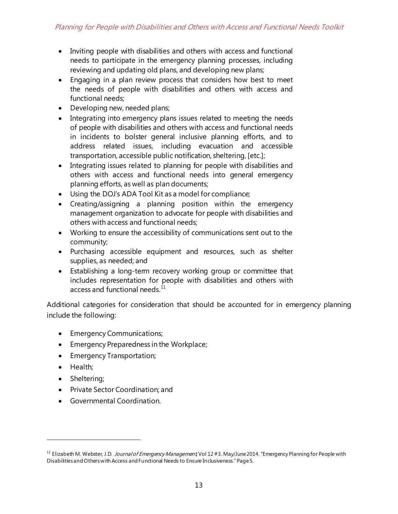- Inviting people with disabilities and others with access and functional needs to participate in the emergency planning processes, including reviewing and updating old plans, and developing new plans;
- Engaging in a plan review process that considers how best to meet the needs of people with disabilities and others with access and functional needs;
- Developing new, needed plans;
- Integrating into emergency plans issues related to meeting the needs of people with disabilities and others with access and functional needs in incidents to bolster general inclusive planning efforts, and to address related issues, including evacuation and accessible transportation, accessible public notification, sheltering, [etc.];
- Integrating issues related to planning for people with disabilities and others with access and functional needs into general emergency planning efforts, as well as plan documents;
- Using the DOJ's ADA Tool Kit as a model for compliance;
- Creating/assigning a planning position within the emergency management organization to advocate for people with disabilities and others with access and functional needs;
- Working to ensure the accessibility of communications sent out to the community;
- Purchasing accessible equipment and resources, such as shelter supplies, as needed; and
- Establishing a long-term recovery working group or committee that includes representation for people with disabilities and others with access and functional needs.<sup>[11](#page-13-0)</sup>

Additional categories for consideration that should be accounted for in emergency planning include the following:

- Emergency Communications;
- Emergency Preparedness in the Workplace;
- Emergency Transportation;
- Health;

- Sheltering;
- Private Sector Coordination; and
- Governmental Coordination.

<span id="page-13-0"></span><sup>&</sup>lt;sup>11</sup> Elizabeth M. Webster, J.D. *Journal of Emergency Management* Vol 12 #3. May/June 2014. "Emergency Planning for People with Disabilities and Others with Access and Functional Needs to Ensure Inclusiveness." Page 5.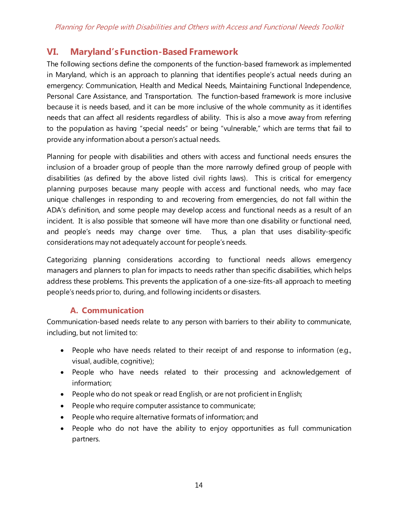# <span id="page-14-0"></span>**VI. Maryland's Function-Based Framework**

The following sections define the components of the function-based framework as implemented in Maryland, which is an approach to planning that identifies people's actual needs during an emergency: Communication, Health and Medical Needs, Maintaining Functional Independence, Personal Care Assistance, and Transportation. The function-based framework is more inclusive because it is needs based, and it can be more inclusive of the whole community as it identifies needs that can affect all residents regardless of ability. This is also a move away from referring to the population as having "special needs" or being "vulnerable," which are terms that fail to provide any information about a person's actual needs.

Planning for people with disabilities and others with access and functional needs ensures the inclusion of a broader group of people than the more narrowly defined group of people with disabilities (as defined by the above listed civil rights laws). This is critical for emergency planning purposes because many people with access and functional needs, who may face unique challenges in responding to and recovering from emergencies, do not fall within the ADA's definition, and some people may develop access and functional needs as a result of an incident. It is also possible that someone will have more than one disability or functional need, and people's needs may change over time. Thus, a plan that uses disability-specific considerations may not adequately account for people's needs.

Categorizing planning considerations according to functional needs allows emergency managers and planners to plan for impacts to needs rather than specific disabilities, which helps address these problems. This prevents the application of a one-size-fits-all approach to meeting people's needs prior to, during, and following incidents or disasters.

# **A. Communication**

<span id="page-14-1"></span>Communication-based needs relate to any person with barriers to their ability to communicate, including, but not limited to:

- People who have needs related to their receipt of and response to information (e.g., visual, audible, cognitive);
- People who have needs related to their processing and acknowledgement of information;
- People who do not speak or read English, or are not proficient in English;
- People who require computer assistance to communicate;
- People who require alternative formats of information; and
- People who do not have the ability to enjoy opportunities as full communication partners.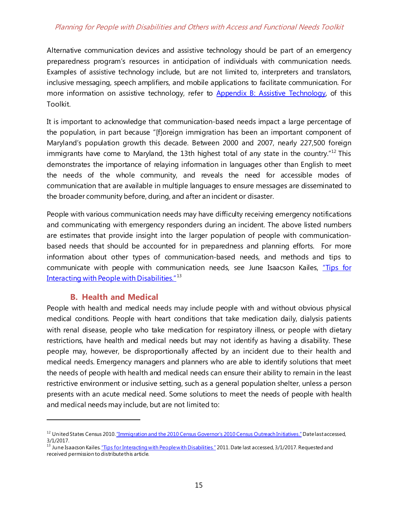## Planning for People with Disabilities and Others with Access and Functional Needs Toolkit

Alternative communication devices and assistive technology should be part of an emergency preparedness program's resources in anticipation of individuals with communication needs. Examples of assistive technology include, but are not limited to, interpreters and translators, inclusive messaging, speech amplifiers, and mobile applications to facilitate communication. For more information on assistive technology, refer to [Appendix B: Assistive Technology,](#page-39-0) of this Toolkit.

It is important to acknowledge that communication-based needs impact a large percentage of the population, in part because "[f]oreign immigration has been an important component of Maryland's population growth this decade. Between 2000 and 2007, nearly 227,500 foreign immigrants have come to Maryland, the 13th highest total of any state in the country.<sup>"[12](#page-15-1)</sup> This demonstrates the importance of relaying information in languages other than English to meet the needs of the whole community, and reveals the need for accessible modes of communication that are available in multiple languages to ensure messages are disseminated to the broader community before, during, and after an incident or disaster.

People with various communication needs may have difficulty receiving emergency notifications and communicating with emergency responders during an incident. The above listed numbers are estimates that provide insight into the larger population of people with communicationbased needs that should be accounted for in preparedness and planning efforts. For more information about other types of communication-based needs, and methods and tips to communicate with people with communication needs, see June Isaacson Kailes, "Tips for [Interacting with People with Disabilities."](http://www.jik.com/pubs/TipsForInteracting%20final%202.14.11.pdf)<sup>[13](#page-15-2)</sup>

## **B. Health and Medical**

 $\overline{a}$ 

<span id="page-15-0"></span>People with health and medical needs may include people with and without obvious physical medical conditions. People with heart conditions that take medication daily, dialysis patients with renal disease, people who take medication for respiratory illness, or people with dietary restrictions, have health and medical needs but may not identify as having a disability. These people may, however, be disproportionally affected by an incident due to their health and medical needs. Emergency managers and planners who are able to identify solutions that meet the needs of people with health and medical needs can ensure their ability to remain in the least restrictive environment or inclusive setting, such as a general population shelter, unless a person presents with an acute medical need. Some solutions to meet the needs of people with health and medical needs may include, but are not limited to:

<span id="page-15-1"></span><sup>&</sup>lt;sup>12</sup> United States Census 201[0. "Immigration and the 2010 Census Governor's 2010 Census Outreach Initiatives."](http://census.maryland.gov/Immigration%20and%20the%202010%20Census_final.pdf) Date last accessed, 3/1/2017.

<span id="page-15-2"></span><sup>&</sup>lt;sup>13</sup> June Isaacson Kailes. "Tips for Interacting wi<u>th People with Disabilities."</u> 2011. Date last accessed, 3/1/2017. Requested and received permission to distribute this article.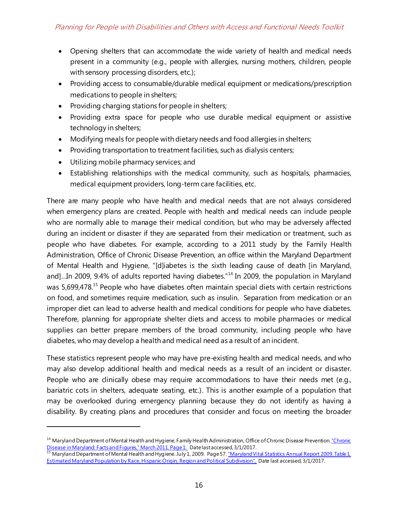- Opening shelters that can accommodate the wide variety of health and medical needs present in a community (e.g., people with allergies, nursing mothers, children, people with sensory processing disorders, etc.);
- Providing access to consumable/durable medical equipment or medications/prescription medications to people in shelters;
- Providing charging stations for people in shelters;
- Providing extra space for people who use durable medical equipment or assistive technology in shelters;
- Modifying meals for people with dietary needs and food allergies in shelters;
- Providing transportation to treatment facilities, such as dialysis centers;
- Utilizing mobile pharmacy services; and

 $\overline{a}$ 

• Establishing relationships with the medical community, such as hospitals, pharmacies, medical equipment providers, long-term care facilities, etc.

There are many people who have health and medical needs that are not always considered when emergency plans are created. People with health and medical needs can include people who are normally able to manage their medical condition, but who may be adversely affected during an incident or disaster if they are separated from their medication or treatment, such as people who have diabetes. For example, according to a 2011 study by the Family Health Administration, Office of Chronic Disease Prevention, an office within the Maryland Department of Mental Health and Hygiene, "[d]iabetes is the sixth leading cause of death [in Maryland, and]...In 2009, 9.4% of adults reported having diabetes."<sup>[14](#page-16-0)</sup> In 2009, the population in Maryland was 5,699,478.<sup>[15](#page-16-1)</sup> People who have diabetes often maintain special diets with certain restrictions on food, and sometimes require medication, such as insulin. Separation from medication or an improper diet can lead to adverse health and medical conditions for people who have diabetes. Therefore, planning for appropriate shelter diets and access to mobile pharmacies or medical supplies can better prepare members of the broad community, including people who have diabetes, who may develop a health and medical need as a result of an incident.

These statistics represent people who may have pre-existing health and medical needs, and who may also develop additional health and medical needs as a result of an incident or disaster. People who are clinically obese may require accommodations to have their needs met (e.g., bariatric cots in shelters, adequate seating, etc.). This is another example of a population that may be overlooked during emergency planning because they do not identify as having a disability. By creating plans and procedures that consider and focus on meeting the broader

<span id="page-16-0"></span><sup>&</sup>lt;sup>14</sup> Maryland Department of Mental Health and Hygiene, Family Health Administration, Office of Chronic Disease Prevention. "Chronic [Disease in Maryland: Facts and Figures," March 2011. Page 1.](http://phpa.dhmh.maryland.gov/ccdpc/Reports/Documents/Chronic-Disease-Maryland-Facts-Figures-2011.pdf) Date last accessed, 3/1/2017.

<span id="page-16-1"></span><sup>15</sup> Maryland Department of Mental Health and Hygiene. July 1, 2009. Page 57. <u>"Maryland Vital Statistics Annual Report 2009. Table 1.</u> [Estimated Maryland Population by Race, Hispanic Origin, Region and Political Subdivision",](http://dhmh.maryland.gov/vsa/Documents/09annual.pdf) Date last accessed, 3/1/2017.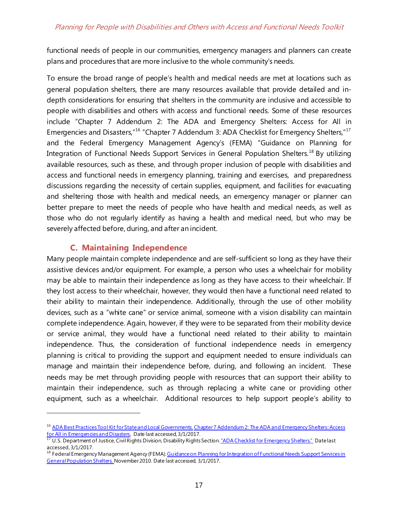functional needs of people in our communities, emergency managers and planners can create plans and procedures that are more inclusive to the whole community's needs.

To ensure the broad range of people's health and medical needs are met at locations such as general population shelters, there are many resources available that provide detailed and indepth considerations for ensuring that shelters in the community are inclusive and accessible to people with disabilities and others with access and functional needs. Some of these resources include "Chapter 7 Addendum 2: The ADA and Emergency Shelters: Access for All in Emergencies and Disasters,"<sup>[16](#page-17-1)</sup> "Chapter 7 Addendum 3: ADA Checklist for Emergency Shelters,"<sup>[17](#page-17-2)</sup> and the Federal Emergency Management Agency's (FEMA) "Guidance on Planning for Integration of Functional Needs Support Services in General Population Shelters.<sup>[18](#page-17-3)</sup> By utilizing available resources, such as these, and through proper inclusion of people with disabilities and access and functional needs in emergency planning, training and exercises, and preparedness discussions regarding the necessity of certain supplies, equipment, and facilities for evacuating and sheltering those with health and medical needs, an emergency manager or planner can better prepare to meet the needs of people who have health and medical needs, as well as those who do not regularly identify as having a health and medical need, but who may be severely affected before, during, and after an incident.

# **C. Maintaining Independence**

 $\overline{a}$ 

<span id="page-17-0"></span>Many people maintain complete independence and are self-sufficient so long as they have their assistive devices and/or equipment. For example, a person who uses a wheelchair for mobility may be able to maintain their independence as long as they have access to their wheelchair. If they lost access to their wheelchair, however, they would then have a functional need related to their ability to maintain their independence. Additionally, through the use of other mobility devices, such as a "white cane" or service animal, someone with a vision disability can maintain complete independence. Again, however, if they were to be separated from their mobility device or service animal, they would have a functional need related to their ability to maintain independence. Thus, the consideration of functional independence needs in emergency planning is critical to providing the support and equipment needed to ensure individuals can manage and maintain their independence before, during, and following an incident. These needs may be met through providing people with resources that can support their ability to maintain their independence, such as through replacing a white cane or providing other equipment, such as a wheelchair. Additional resources to help support people's ability to

<span id="page-17-1"></span><sup>&</sup>lt;sup>16</sup> ADA Best [Practices Tool Kit for State and Local Governments](http://www.ada.gov/pcatoolkit/toolkitmain.htm). Chapter 7 Addendum 2: The ADA and Emergency Shelters: Access [for All in Emergencies and Disasters,](http://www.ada.gov/pcatoolkit/chap7shelterprog.htm) Date last accessed, 3/1/2017.<br><sup>17</sup> U.S. Department of Justice, Civil Rights Division, Disability Rights Section. <u>"ADA Checklist for Emergency Shelters."</u> Date last

<span id="page-17-2"></span>accessed, 3/1/2017.

<span id="page-17-3"></span><sup>&</sup>lt;sup>18</sup> Federal Emergency Management Agency (FEMA). Guidance on Planning for Integration of Functional Needs Support Services in [General Population Shelters.](https://www.fema.gov/pdf/about/odic/fnss_guidance.pdf) November 2010. Date last accessed, 3/1/2017.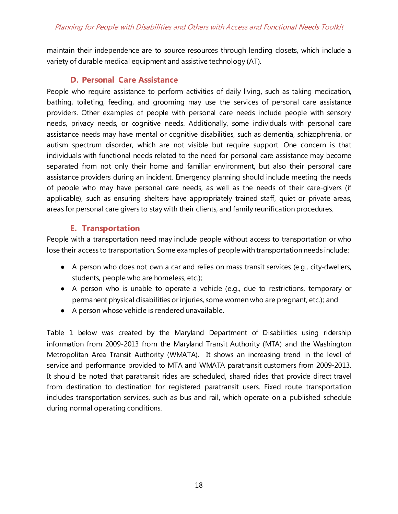maintain their independence are to source resources through lending closets, which include a variety of durable medical equipment and assistive technology (AT).

# **D. Personal Care Assistance**

<span id="page-18-0"></span>People who require assistance to perform activities of daily living, such as taking medication, bathing, toileting, feeding, and grooming may use the services of personal care assistance providers. Other examples of people with personal care needs include people with sensory needs, privacy needs, or cognitive needs. Additionally, some individuals with personal care assistance needs may have mental or cognitive disabilities, such as dementia, schizophrenia, or autism spectrum disorder, which are not visible but require support. One concern is that individuals with functional needs related to the need for personal care assistance may become separated from not only their home and familiar environment, but also their personal care assistance providers during an incident. Emergency planning should include meeting the needs of people who may have personal care needs, as well as the needs of their care-givers (if applicable), such as ensuring shelters have appropriately trained staff, quiet or private areas, areas for personal care givers to stay with their clients, and family reunification procedures.

# **E. Transportation**

<span id="page-18-1"></span>People with a transportation need may include people without access to transportation or who lose their access to transportation. Some examples of people with transportation needs include:

- A person who does not own a car and relies on mass transit services (e.g., city-dwellers, students, people who are homeless, etc.);
- A person who is unable to operate a vehicle (e.g., due to restrictions, temporary or permanent physical disabilities or injuries, some women who are pregnant, etc.); and
- A person whose vehicle is rendered unavailable.

Table 1 below was created by the Maryland Department of Disabilities using ridership information from 2009-2013 from the Maryland Transit Authority (MTA) and the Washington Metropolitan Area Transit Authority (WMATA). It shows an increasing trend in the level of service and performance provided to MTA and WMATA paratransit customers from 2009-2013. It should be noted that paratransit rides are scheduled, shared rides that provide direct travel from destination to destination for registered paratransit users. Fixed route transportation includes transportation services, such as bus and rail, which operate on a published schedule during normal operating conditions.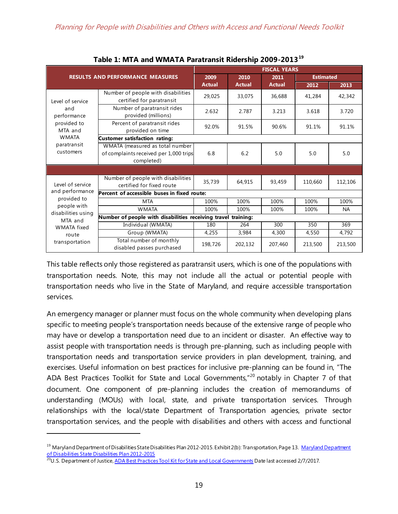<span id="page-19-0"></span>

|                                         | Favic 1. MITA and WiviATA Farationsit Kidership 2009-2019                               |               |               |                     |         |           |
|-----------------------------------------|-----------------------------------------------------------------------------------------|---------------|---------------|---------------------|---------|-----------|
|                                         |                                                                                         |               |               | <b>FISCAL YEARS</b> |         |           |
| <b>RESULTS AND PERFORMANCE MEASURES</b> | 2009                                                                                    | 2010          | 2011          | <b>Estimated</b>    |         |           |
|                                         |                                                                                         | <b>Actual</b> | <b>Actual</b> | <b>Actual</b>       | 2012    | 2013      |
| Level of service                        | Number of people with disabilities<br>certified for paratransit                         | 29,025        | 33,075        | 36,688              | 41,284  | 42,342    |
| and<br>performance                      | Number of paratransit rides<br>provided (millions)                                      | 2.632         | 2.787         | 3.213               | 3.618   | 3.720     |
| provided to<br>MTA and                  | Percent of paratransit rides<br>provided on time                                        | 92.0%         | 91.5%         | 90.6%               | 91.1%   | 91.1%     |
| <b>WMATA</b>                            | Customer satisfaction rating:                                                           |               |               |                     |         |           |
| paratransit<br>customers                | WMATA (measured as total number<br>of complaints received per 1,000 trips<br>completed) | 6.8           | 6.2           | 5.0                 | 5.0     | 5.0       |
|                                         |                                                                                         |               |               |                     |         |           |
| Level of service                        | Number of people with disabilities<br>certified for fixed route                         | 35,739        | 64,915        | 93,459              | 110,660 | 112,106   |
| and performance                         | Percent of accessible buses in fixed route:                                             |               |               |                     |         |           |
| provided to                             | <b>MTA</b>                                                                              | 100%          | 100%          | 100%                | 100%    | 100%      |
| people with<br>disabilities using       | <b>WMATA</b>                                                                            | 100%          | 100%          | 100%                | 100%    | <b>NA</b> |
| MTA and                                 | Number of people with disabilities receiving travel training:                           |               |               |                     |         |           |
| <b>WMATA</b> fixed                      | Individual (WMATA)                                                                      | 180           | 264           | 300                 | 350     | 369       |
| route                                   | Group (WMATA)                                                                           | 4,255         | 3,984         | 4,300               | 4,550   | 4,792     |
| transportation                          | Total number of monthly<br>disabled passes purchased                                    | 198,726       | 202,132       | 207,460             | 213,500 | 213,500   |

**Table 1: MTA and WMATA Paratransit Ridership 2009-2013[19](#page-19-1)**

This table reflects only those registered as paratransit users, which is one of the populations with transportation needs. Note, this may not include all the actual or potential people with transportation needs who live in the State of Maryland, and require accessible transportation services.

An emergency manager or planner must focus on the whole community when developing plans specific to meeting people's transportation needs because of the extensive range of people who may have or develop a transportation need due to an incident or disaster. An effective way to assist people with transportation needs is through pre-planning, such as including people with transportation needs and transportation service providers in plan development, training, and exercises. Useful information on best practices for inclusive pre-planning can be found in, "The ADA Best Practices Toolkit for State and Local Governments,"<sup>[20](#page-19-2)</sup> notably in Chapter 7 of that document. One component of pre-planning includes the creation of memorandums of understanding (MOUs) with local, state, and private transportation services. Through relationships with the local/state Department of Transportation agencies, private sector transportation services, and the people with disabilities and others with access and functional

<span id="page-19-1"></span><sup>&</sup>lt;sup>19</sup> Maryland Department of Disabilities State Disabilities Plan 2012-2015. Exhibit 2(b): Transportation, Page 13. Maryland Department [of Disabilities State Disabilities Plan 2012-2015](http://mdod.maryland.gov/pub/Documents/2012-2015%20State%20Disabilities%20Plan%20for%20IADB%20Approved%20Final.doc)

<span id="page-19-2"></span><sup>&</sup>lt;sup>20</sup>U.S. Department of Justic[e, ADA Best Practices Tool Kit for State and Local Governments](http://www.ada.gov/pcatoolkit/toolkitmain.htm) Date last accessed 2/7/2017.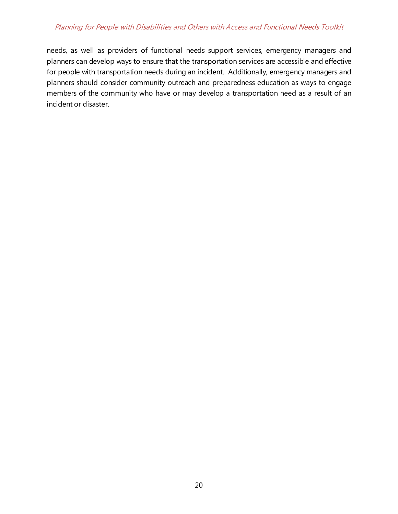## Planning for People with Disabilities and Others with Access and Functional Needs Toolkit

needs, as well as providers of functional needs support services, emergency managers and planners can develop ways to ensure that the transportation services are accessible and effective for people with transportation needs during an incident. Additionally, emergency managers and planners should consider community outreach and preparedness education as ways to engage members of the community who have or may develop a transportation need as a result of an incident or disaster.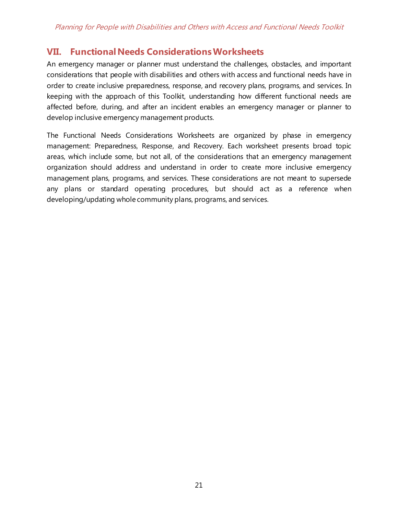# <span id="page-21-0"></span>**VII. Functional Needs Considerations Worksheets**

An emergency manager or planner must understand the challenges, obstacles, and important considerations that people with disabilities and others with access and functional needs have in order to create inclusive preparedness, response, and recovery plans, programs, and services. In keeping with the approach of this Toolkit, understanding how different functional needs are affected before, during, and after an incident enables an emergency manager or planner to develop inclusive emergency management products.

The Functional Needs Considerations Worksheets are organized by phase in emergency management: Preparedness, Response, and Recovery. Each worksheet presents broad topic areas, which include some, but not all, of the considerations that an emergency management organization should address and understand in order to create more inclusive emergency management plans, programs, and services. These considerations are not meant to supersede any plans or standard operating procedures, but should act as a reference when developing/updating whole community plans, programs, and services.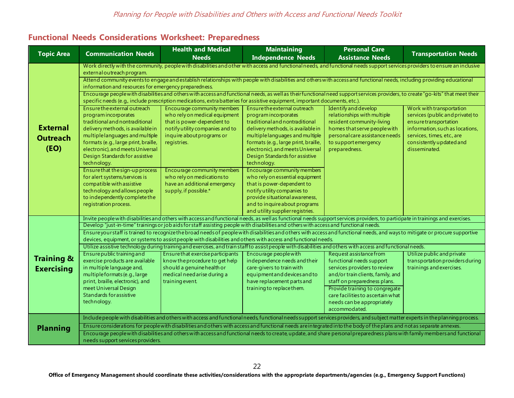## **Functional Needs Considerations Worksheet: Preparedness**

<span id="page-22-0"></span>

|                                            |                                                                                                                                                                                                                                                                                                                  | <b>Health and Medical</b>                                                                                                                                                       | <b>Maintaining</b>                                                                                                                                                                                                                                                                          | <b>Personal Care</b>                                                                                                                                                                        |                                                                                                                                                                                                    |  |  |  |
|--------------------------------------------|------------------------------------------------------------------------------------------------------------------------------------------------------------------------------------------------------------------------------------------------------------------------------------------------------------------|---------------------------------------------------------------------------------------------------------------------------------------------------------------------------------|---------------------------------------------------------------------------------------------------------------------------------------------------------------------------------------------------------------------------------------------------------------------------------------------|---------------------------------------------------------------------------------------------------------------------------------------------------------------------------------------------|----------------------------------------------------------------------------------------------------------------------------------------------------------------------------------------------------|--|--|--|
| <b>Topic Area</b>                          | <b>Communication Needs</b>                                                                                                                                                                                                                                                                                       | <b>Needs</b>                                                                                                                                                                    | <b>Independence Needs</b>                                                                                                                                                                                                                                                                   | <b>Assistance Needs</b>                                                                                                                                                                     | <b>Transportation Needs</b>                                                                                                                                                                        |  |  |  |
|                                            | Work directly with the community, people with disabilities and other with access and functional needs, and functional needs support services providers to ensure an inclusive<br>external outreach program.                                                                                                      |                                                                                                                                                                                 |                                                                                                                                                                                                                                                                                             |                                                                                                                                                                                             |                                                                                                                                                                                                    |  |  |  |
|                                            | Attend community events to engage and establish relationships with people with disabilities and others with access and functional needs, including providing educational<br>information and resources for emergency preparedness.                                                                                |                                                                                                                                                                                 |                                                                                                                                                                                                                                                                                             |                                                                                                                                                                                             |                                                                                                                                                                                                    |  |  |  |
|                                            | Encourage people with disabilities and others with access and functional needs, as well as their functional need support services providers, to create "go-kits" that meet their<br>specific needs (e.g., include prescription medications, extra batteries for assistive equipment, important documents, etc.). |                                                                                                                                                                                 |                                                                                                                                                                                                                                                                                             |                                                                                                                                                                                             |                                                                                                                                                                                                    |  |  |  |
| <b>External</b><br><b>Outreach</b><br>(EO) | Ensure the external outreach<br>program incorporates<br>traditional and nontraditional<br>delivery methods, is available in<br>multiplelanguages and multiple<br>formats (e.g., large print, braille,<br>electronic), and meets Universal<br>Design Standards for assistive<br>technology.                       | Encourage community members<br>who rely on medical equipment<br>that is power-dependent to<br>notify utility companies and to<br>inquire about programs or<br>registries.       | Ensure the external outreach<br>program incorporates<br>traditional and nontraditional<br>delivery methods, is available in<br>multiple languages and multiple<br>formats (e.g., large print, braille,<br>electronic), and meets Universal<br>Design Standards for assistive<br>technology. | Identify and develop<br>relationships with multiple<br>resident community-living<br>homes that serve people with<br>personal care assistance needs<br>to support emergency<br>preparedness. | Work with transportation<br>services (public and private) to<br>ensuretransportation<br>information, such as locations,<br>services, times, etc., are<br>consistently updated and<br>disseminated. |  |  |  |
|                                            | Ensurethat the sign-up process<br>for alert systems/services is<br>compatible with assistive<br>technology and allows people<br>to independently complete the<br>registration process.                                                                                                                           | Encourage community members<br>who rely on medications to<br>have an additional emergency<br>supply, if possible.*                                                              | Encourage community members<br>who rely on essential equipment<br>that is power-dependent to<br>notify utility companies to<br>provide situational awareness,<br>and to inquire about programs<br>and utility supplier registries.                                                          |                                                                                                                                                                                             |                                                                                                                                                                                                    |  |  |  |
|                                            |                                                                                                                                                                                                                                                                                                                  | Invite people with disabilities and others with access and functional needs, as well as functional needs support services providers, to participate in trainings and exercises. |                                                                                                                                                                                                                                                                                             |                                                                                                                                                                                             |                                                                                                                                                                                                    |  |  |  |
|                                            | Develop "just-in-time" trainings or job aids for staff assisting people with disabilities and others with access and functional needs.                                                                                                                                                                           |                                                                                                                                                                                 |                                                                                                                                                                                                                                                                                             |                                                                                                                                                                                             |                                                                                                                                                                                                    |  |  |  |
|                                            | Ensure your staff is trained to recognize the broad needs of people with disabilities and others with access and functional needs, and ways to mitigate or procure supportive<br>devices, equipment, or systems to assist people with disabilities and others with access and functional needs.                  |                                                                                                                                                                                 |                                                                                                                                                                                                                                                                                             |                                                                                                                                                                                             |                                                                                                                                                                                                    |  |  |  |
|                                            | Utilize assistive technology during training and exercises, and train staff to assist people with disabilities and others with access and functional needs.                                                                                                                                                      |                                                                                                                                                                                 |                                                                                                                                                                                                                                                                                             |                                                                                                                                                                                             |                                                                                                                                                                                                    |  |  |  |
| <b>Training &amp;</b><br><b>Exercising</b> | Ensure public training and<br>exercise products are available<br>in multiple language and,<br>multiple formats (e.g., large<br>print, braille, electronic), and                                                                                                                                                  | Ensure that exercise participants<br>know the procedure to get help<br>should a genuine health or<br>medical need arise during a<br>training event.                             | Encourage people with<br>independence needs and their<br>care-givers to train with<br>equipment and devices and to<br>have replacement parts and                                                                                                                                            | Request assistance from<br>functional needs support<br>services providers to review<br>and/or train clients, family, and<br>staff on preparedness plans.                                    | Utilize public and private<br>transportation providers during<br>trainings and exercises.                                                                                                          |  |  |  |
|                                            | meet Universal Design<br>Standards for assistive<br>technology.                                                                                                                                                                                                                                                  |                                                                                                                                                                                 | training to replace them.                                                                                                                                                                                                                                                                   | Provide training to congregate<br>care facilities to ascertain what<br>needs can be appropriately<br>accommodated.                                                                          |                                                                                                                                                                                                    |  |  |  |
|                                            |                                                                                                                                                                                                                                                                                                                  | Include people with disabilities and others with access and functional needs, functional needs support services providers, and subject matter experts in the planning process.  |                                                                                                                                                                                                                                                                                             |                                                                                                                                                                                             |                                                                                                                                                                                                    |  |  |  |
| <b>Planning</b>                            |                                                                                                                                                                                                                                                                                                                  | Ensure considerations for people with disabilities and others with access and functional needs are integrated into the body of the plans and not as separate annexes.           |                                                                                                                                                                                                                                                                                             |                                                                                                                                                                                             |                                                                                                                                                                                                    |  |  |  |
|                                            | Encourage people with disabilities and others with access and functional needs to create, update, and share personal preparedness plans with family members and functional<br>needs support services providers.                                                                                                  |                                                                                                                                                                                 |                                                                                                                                                                                                                                                                                             |                                                                                                                                                                                             |                                                                                                                                                                                                    |  |  |  |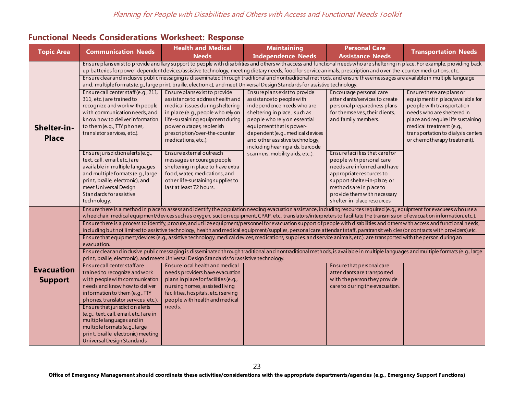## **Functional Needs Considerations Worksheet: Response**

<span id="page-23-0"></span>

| <b>Topic Area</b> | <b>Communication Needs</b>                                                                                                                                                                                                                                                                                                                                          | <b>Health and Medical</b>                                                                   | <b>Maintaining</b>                                                                                                                                                          | <b>Personal Care</b>                                       |                                                               |  |  |
|-------------------|---------------------------------------------------------------------------------------------------------------------------------------------------------------------------------------------------------------------------------------------------------------------------------------------------------------------------------------------------------------------|---------------------------------------------------------------------------------------------|-----------------------------------------------------------------------------------------------------------------------------------------------------------------------------|------------------------------------------------------------|---------------------------------------------------------------|--|--|
|                   |                                                                                                                                                                                                                                                                                                                                                                     | <b>Needs</b>                                                                                | <b>Independence Needs</b>                                                                                                                                                   | <b>Assistance Needs</b>                                    | <b>Transportation Needs</b>                                   |  |  |
|                   | Ensure plans exist to provide ancillary support to people with disabilities and others with access and functional needs who are sheltering in place. For example, providing back<br>up batteries for power-dependent devices/assistive technology, meeting dietary needs, food for service animals, prescription and over-the-counter medications, etc.             |                                                                                             |                                                                                                                                                                             |                                                            |                                                               |  |  |
|                   |                                                                                                                                                                                                                                                                                                                                                                     |                                                                                             | Ensure clear and inclusive public messaging is disseminated through traditional and nontraditional methods, and ensure these messages are available in multiple language    |                                                            |                                                               |  |  |
|                   |                                                                                                                                                                                                                                                                                                                                                                     |                                                                                             | and, multiple formats (e.g., large print, braille, electronic), and meet Universal Design Standards for assistive technology.                                               |                                                            |                                                               |  |  |
|                   | Ensure call center staff (e.g., 211,                                                                                                                                                                                                                                                                                                                                | Ensure plans exist to provide                                                               | Ensure plans exist to provide                                                                                                                                               | Encourage personal care                                    | Ensure there are plans or                                     |  |  |
|                   | 311, etc.) are trained to                                                                                                                                                                                                                                                                                                                                           | assistance to address health and                                                            | assistance to people with                                                                                                                                                   | attendants/services to create                              | equipment in place/available for                              |  |  |
|                   | recognize and work with people                                                                                                                                                                                                                                                                                                                                      | medical issues during sheltering                                                            | independence needs who are                                                                                                                                                  | personal preparedness plans                                | people with transportation                                    |  |  |
|                   | with communication needs, and<br>know how to deliver information                                                                                                                                                                                                                                                                                                    | in place (e.g., people who rely on                                                          | sheltering in place, such as                                                                                                                                                | for themselves, their clients,                             | needs who are sheltered in                                    |  |  |
|                   | to them (e.g., TTY phones,                                                                                                                                                                                                                                                                                                                                          | life-sustaining equipment during<br>power outages, replenish                                | people who rely on essential<br>equipment that is power-                                                                                                                    | and family members.                                        | place and require life sustaining<br>medical treatment (e.g., |  |  |
| Shelter-in-       | translator services, etc.).                                                                                                                                                                                                                                                                                                                                         | prescription/over-the-counter                                                               | dependent (e.g., medical devices                                                                                                                                            |                                                            | transportation to dialysis centers                            |  |  |
| <b>Place</b>      |                                                                                                                                                                                                                                                                                                                                                                     | medications, etc.).                                                                         | and other assistive technology,                                                                                                                                             |                                                            | or chemotherapy treatment).                                   |  |  |
|                   |                                                                                                                                                                                                                                                                                                                                                                     |                                                                                             | including hearing aids, barcode                                                                                                                                             |                                                            |                                                               |  |  |
|                   | Ensure jurisdiction alerts (e.g.,                                                                                                                                                                                                                                                                                                                                   | Ensure external outreach                                                                    | scanners, mobility aids, etc.).                                                                                                                                             | Ensure facilities that care for                            |                                                               |  |  |
|                   | text, call, email, etc.) are                                                                                                                                                                                                                                                                                                                                        | messages encourage people                                                                   |                                                                                                                                                                             | people with personal care                                  |                                                               |  |  |
|                   | available in multiple languages                                                                                                                                                                                                                                                                                                                                     | sheltering in place to have extra                                                           |                                                                                                                                                                             | needs are informed and have                                |                                                               |  |  |
|                   | and multiple formats (e.g., large                                                                                                                                                                                                                                                                                                                                   | food, water, medications, and                                                               |                                                                                                                                                                             | appropriate resources to                                   |                                                               |  |  |
|                   | print, braille, electronic), and<br>meet Universal Design                                                                                                                                                                                                                                                                                                           | other life-sustaining supplies to<br>last at least 72 hours.                                |                                                                                                                                                                             | support shelter-in-place, or<br>methods are in place to    |                                                               |  |  |
|                   | Standards for assistive                                                                                                                                                                                                                                                                                                                                             |                                                                                             |                                                                                                                                                                             | provide them with necessary                                |                                                               |  |  |
|                   | technology.                                                                                                                                                                                                                                                                                                                                                         |                                                                                             |                                                                                                                                                                             | shelter-in-place resources.                                |                                                               |  |  |
|                   |                                                                                                                                                                                                                                                                                                                                                                     |                                                                                             | Ensure there is a method in place to assess and identify the population needing evacuation assistance, including resources required (e.g., equipment for evacuees who use a |                                                            |                                                               |  |  |
|                   | wheelchair, medical equipment/devices such as oxygen, suction equipment, CPAP, etc., translators/interpreters to facilitate the transmission of evacuation information, etc.).                                                                                                                                                                                      |                                                                                             |                                                                                                                                                                             |                                                            |                                                               |  |  |
|                   | Ensure there is a process to identify, procure, and utilize equipment/personnel for evacuation support of people with disabilities and others with access and functional needs,<br>including butnot limited to assistive technology, health and medical equipment/supplies, personal care attendant staff, paratransit vehicles (or contracts with providers), etc. |                                                                                             |                                                                                                                                                                             |                                                            |                                                               |  |  |
|                   | Ensure that equipment/devices (e.g., assistive technology, medical devices, medications, supplies, and service animals, etc.). are transported with the person during an<br>evacuation.                                                                                                                                                                             |                                                                                             |                                                                                                                                                                             |                                                            |                                                               |  |  |
|                   | Ensure clear and inclusive public messaging is disseminated through traditional and nontraditional methods, is available in multiple languages and multiple formats (e.g., large                                                                                                                                                                                    |                                                                                             |                                                                                                                                                                             |                                                            |                                                               |  |  |
|                   |                                                                                                                                                                                                                                                                                                                                                                     | print, braille, electronic), and meets Universal Design Standards for assistive technology. |                                                                                                                                                                             |                                                            |                                                               |  |  |
| <b>Evacuation</b> | Ensure call center staff are                                                                                                                                                                                                                                                                                                                                        | Ensure local health and medical                                                             |                                                                                                                                                                             | Ensure that personal care                                  |                                                               |  |  |
|                   | trained to recognize and work                                                                                                                                                                                                                                                                                                                                       | needs providers have evacuation                                                             |                                                                                                                                                                             | attendants are transported<br>with the person they provide |                                                               |  |  |
| <b>Support</b>    | with people with communication<br>needs and know how to deliver                                                                                                                                                                                                                                                                                                     | plans in place for facilities (e.g.,<br>nursing homes, assisted living                      |                                                                                                                                                                             | care to during the evacuation.                             |                                                               |  |  |
|                   | information to them (e.g., TTY                                                                                                                                                                                                                                                                                                                                      | facilities, hospitals, etc.) serving                                                        |                                                                                                                                                                             |                                                            |                                                               |  |  |
|                   | phones, translator services, etc.)                                                                                                                                                                                                                                                                                                                                  | people with health and medical                                                              |                                                                                                                                                                             |                                                            |                                                               |  |  |
|                   | Ensure that jurisdiction alerts                                                                                                                                                                                                                                                                                                                                     | needs.                                                                                      |                                                                                                                                                                             |                                                            |                                                               |  |  |
|                   | (e.g., text, call, email, etc.) are in                                                                                                                                                                                                                                                                                                                              |                                                                                             |                                                                                                                                                                             |                                                            |                                                               |  |  |
|                   | multiple languages and in                                                                                                                                                                                                                                                                                                                                           |                                                                                             |                                                                                                                                                                             |                                                            |                                                               |  |  |
|                   | multiple formats (e.g., large                                                                                                                                                                                                                                                                                                                                       |                                                                                             |                                                                                                                                                                             |                                                            |                                                               |  |  |
|                   | print, braille, electronic) meeting<br>Universal Design Standards.                                                                                                                                                                                                                                                                                                  |                                                                                             |                                                                                                                                                                             |                                                            |                                                               |  |  |
|                   |                                                                                                                                                                                                                                                                                                                                                                     |                                                                                             |                                                                                                                                                                             |                                                            |                                                               |  |  |

23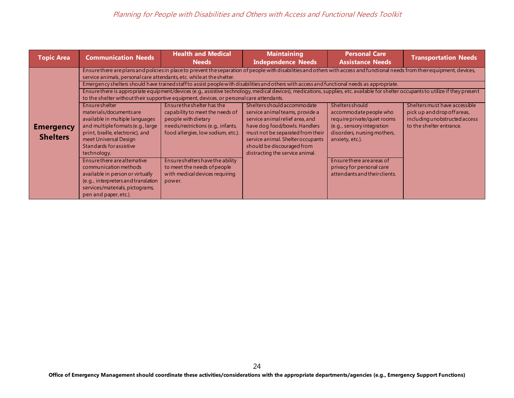| <b>Topic Area</b>                   | <b>Communication Needs</b>                                                                                                                                                                                                                                                                                                                                                                                                            | <b>Health and Medical</b><br><b>Needs</b>                                                                                                                                                                                                                                                                                                                                   | <b>Maintaining</b><br><b>Independence Needs</b>                                                                                                                                                                                                                                                                                                                                                                                                                                                                                                                                                                                                                                                                                                                                                    | <b>Personal Care</b><br><b>Assistance Needs</b>                                                                                                                                                                                                            | <b>Transportation Needs</b>                                                                                                 |
|-------------------------------------|---------------------------------------------------------------------------------------------------------------------------------------------------------------------------------------------------------------------------------------------------------------------------------------------------------------------------------------------------------------------------------------------------------------------------------------|-----------------------------------------------------------------------------------------------------------------------------------------------------------------------------------------------------------------------------------------------------------------------------------------------------------------------------------------------------------------------------|----------------------------------------------------------------------------------------------------------------------------------------------------------------------------------------------------------------------------------------------------------------------------------------------------------------------------------------------------------------------------------------------------------------------------------------------------------------------------------------------------------------------------------------------------------------------------------------------------------------------------------------------------------------------------------------------------------------------------------------------------------------------------------------------------|------------------------------------------------------------------------------------------------------------------------------------------------------------------------------------------------------------------------------------------------------------|-----------------------------------------------------------------------------------------------------------------------------|
| <b>Emergency</b><br><b>Shelters</b> | service animals, personal care attendants, etc. while at the shelter.<br>Ensure shelter<br>materials/documents are<br>available in multiple languages<br>and multiple formats (e.g., large<br>print, braille, electronic), and<br>meet Universal Design<br>Standards for assistive<br>technology.<br>Ensure there are alternative<br>communication methods<br>available in person or virtually<br>(e.g., interpreters and translation | to the shelter without their supportive equipment, devices, or personal care attendants.<br>Ensure the shelter has the<br>capability to meet the needs of<br>people with dietary<br>needs/restrictions (e.g., infants,<br>food allergies, low sodium, etc.).<br>Ensure shelters have the ability<br>to meet the needs of people<br>with medical devices requiring<br>power. | Ensure there are plans and policies in place to prevent the separation of people with disabilities and others with access and functional needs from their equipment, devices,<br>Emergency shelters should have trained staff to assist peoplewith disabilities and others with access and functional needs as appropriate.<br>Ensure there is appropriate equipment/devices (e.g., assistive technology, medical devices), medications, supplies, etc. available for shelter occupants to utilize if they present<br>Shelters should accommodate<br>service animal teams, provide a<br>service animal relief area, and<br>have dog food/bowls. Handlers<br>must not be separated from their<br>service animal. Shelter occupants<br>should be discouraged from<br>distracting the service animal. | <b>Shelters should</b><br>accommodate people who<br>require private/quiet rooms<br>(e.g., sensory integration<br>disorders, nursing mothers,<br>anxiety, etc.).<br>Ensure there are areas of<br>privacy for personal care<br>attendants and their clients. | Shelters must have accessible<br>pick up and drop off areas,<br>in cluding uno bstructed access<br>to the shelter entrance. |
|                                     | services/materials, pictograms,<br>pen and paper, etc.).                                                                                                                                                                                                                                                                                                                                                                              |                                                                                                                                                                                                                                                                                                                                                                             |                                                                                                                                                                                                                                                                                                                                                                                                                                                                                                                                                                                                                                                                                                                                                                                                    |                                                                                                                                                                                                                                                            |                                                                                                                             |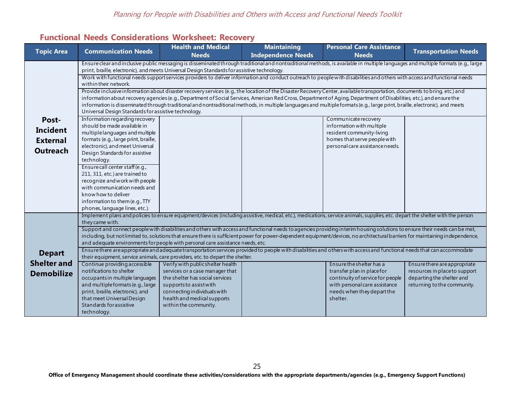# **Functional Needs Considerations Worksheet: Recovery**

<span id="page-25-0"></span>

| <b>Topic Area</b>  | <b>Communication Needs</b>                                                                                                                                                                                                                               | <b>Health and Medical</b>                                                                                                                                                        | <b>Maintaining</b> | <b>Personal Care Assistance</b>                           | <b>Transportation Needs</b>   |  |
|--------------------|----------------------------------------------------------------------------------------------------------------------------------------------------------------------------------------------------------------------------------------------------------|----------------------------------------------------------------------------------------------------------------------------------------------------------------------------------|--------------------|-----------------------------------------------------------|-------------------------------|--|
|                    | <b>Independence Needs</b><br><b>Needs</b><br><b>Needs</b>                                                                                                                                                                                                |                                                                                                                                                                                  |                    |                                                           |                               |  |
|                    |                                                                                                                                                                                                                                                          | Ensure clear and inclusive public messaging is disseminated through traditional and nontraditional methods, is available in multiple languages and multiple formats (e.g., large |                    |                                                           |                               |  |
|                    |                                                                                                                                                                                                                                                          | print, braille, electronic), and meets Universal Design Standards for assistive technology.                                                                                      |                    |                                                           |                               |  |
|                    | within their network.                                                                                                                                                                                                                                    | Work with functional needs support services providers to deliver information and conduct outreach to people with disabilities and others with access and functional needs        |                    |                                                           |                               |  |
|                    |                                                                                                                                                                                                                                                          | Provide inclusive information about disaster recovery services (e.g., the location of the Disaster Recovery Center, available transportation, documents to bring, etc.) and      |                    |                                                           |                               |  |
|                    |                                                                                                                                                                                                                                                          | information about recovery agencies (e.g., Department of Social Services, American Red Cross, Department of Aging, Department of Disabilities, etc.), and ensure the             |                    |                                                           |                               |  |
|                    |                                                                                                                                                                                                                                                          | information is disseminated through traditional and nontraditional methods, in multiple languages and multiple formats (e.g., large print, braille, electronic), and meets       |                    |                                                           |                               |  |
|                    | Universal Design Standards for assistive technology.                                                                                                                                                                                                     |                                                                                                                                                                                  |                    |                                                           |                               |  |
| Post-              | Information regarding recovery                                                                                                                                                                                                                           |                                                                                                                                                                                  |                    | Communicate recovery                                      |                               |  |
| <b>Incident</b>    | should be made available in                                                                                                                                                                                                                              |                                                                                                                                                                                  |                    | information with multiple                                 |                               |  |
|                    | multiple languages and multiple<br>formats (e.g., large print, braille,                                                                                                                                                                                  |                                                                                                                                                                                  |                    | resident community-living<br>homes that serve people with |                               |  |
| <b>External</b>    | electronic), and meet Universal                                                                                                                                                                                                                          |                                                                                                                                                                                  |                    | personal care assistance needs.                           |                               |  |
| <b>Outreach</b>    | Design Standards for assistive                                                                                                                                                                                                                           |                                                                                                                                                                                  |                    |                                                           |                               |  |
|                    | technology.                                                                                                                                                                                                                                              |                                                                                                                                                                                  |                    |                                                           |                               |  |
|                    | Ensure call center staff (e.g.,                                                                                                                                                                                                                          |                                                                                                                                                                                  |                    |                                                           |                               |  |
|                    | 211, 311, etc.) are trained to                                                                                                                                                                                                                           |                                                                                                                                                                                  |                    |                                                           |                               |  |
|                    | recognize and work with people                                                                                                                                                                                                                           |                                                                                                                                                                                  |                    |                                                           |                               |  |
|                    | with communication needs and                                                                                                                                                                                                                             |                                                                                                                                                                                  |                    |                                                           |                               |  |
|                    | know how to deliver                                                                                                                                                                                                                                      |                                                                                                                                                                                  |                    |                                                           |                               |  |
|                    | information to them (e.g., TTY<br>phones, language lines, etc.).                                                                                                                                                                                         |                                                                                                                                                                                  |                    |                                                           |                               |  |
|                    |                                                                                                                                                                                                                                                          | Implement plans and policies to ensure equipment/devices (including assistive, medical, etc.), medications, service animals, supplies, etc. depart the shelter with the person   |                    |                                                           |                               |  |
|                    | they came with.                                                                                                                                                                                                                                          |                                                                                                                                                                                  |                    |                                                           |                               |  |
|                    | Support and connect people with disabilities and others with access and functional needs to agencies providing interim housing solutions to ensure their needs can be met,                                                                               |                                                                                                                                                                                  |                    |                                                           |                               |  |
|                    | including, but not limited to, solutions that ensure there is sufficient power for power-dependent equipment/devices, no architectural barriers for maintaining independence,                                                                            |                                                                                                                                                                                  |                    |                                                           |                               |  |
|                    | and adequate environments for people with personal care assistance needs, etc.                                                                                                                                                                           |                                                                                                                                                                                  |                    |                                                           |                               |  |
| <b>Depart</b>      | Ensure there are appropriate and adequate transportation services provided to people with disabilities and others with access and functional needs that can accommodate<br>their equipment, service animals, care providers, etc. to depart the shelter. |                                                                                                                                                                                  |                    |                                                           |                               |  |
| <b>Shelter and</b> | Continue providing accessible                                                                                                                                                                                                                            | Verify with publicshelter health                                                                                                                                                 |                    | Ensure the shelter has a                                  | Ensure there are appropriate  |  |
|                    | notifications to shelter                                                                                                                                                                                                                                 | services or a case manager that                                                                                                                                                  |                    | transfer plan in place for                                | resources in place to support |  |
| <b>Demobilize</b>  | occupants in multiple languages                                                                                                                                                                                                                          | the shelter has social services                                                                                                                                                  |                    | continuity of service for people                          | departing the shelter and     |  |
|                    | and multiple formats (e.g., large                                                                                                                                                                                                                        | supports to assist with                                                                                                                                                          |                    | with personal care assistance                             | returning to the community.   |  |
|                    | print, braille, electronic), and                                                                                                                                                                                                                         | connecting individuals with                                                                                                                                                      |                    | needs when they depart the                                |                               |  |
|                    | that meet Universal Design                                                                                                                                                                                                                               | health and medical supports                                                                                                                                                      |                    | shelter.                                                  |                               |  |
|                    | Standards for assistive                                                                                                                                                                                                                                  | within the community.                                                                                                                                                            |                    |                                                           |                               |  |
|                    | technology.                                                                                                                                                                                                                                              |                                                                                                                                                                                  |                    |                                                           |                               |  |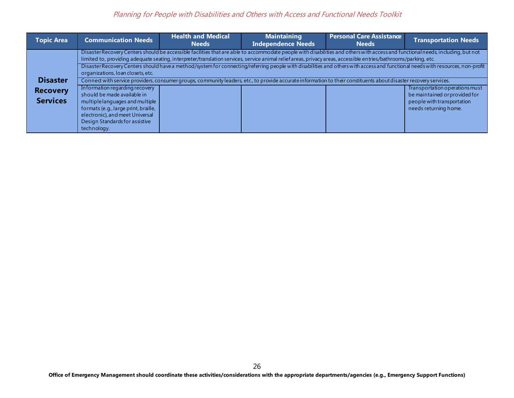## Planning for People with Disabilities and Others with Access and Functional Needs Toolkit

| <b>Topic Area</b> | <b>Communication Needs</b>                                                                                 | <b>Health and Medical</b><br><b>Needs</b> | <b>Maintaining</b><br><b>Independence Needs</b>                                                                                                                                                                                                                                                                                                     | <b>Personal Care Assistance</b><br><b>Needs</b> | <b>Transportation Needs</b>                                     |
|-------------------|------------------------------------------------------------------------------------------------------------|-------------------------------------------|-----------------------------------------------------------------------------------------------------------------------------------------------------------------------------------------------------------------------------------------------------------------------------------------------------------------------------------------------------|-------------------------------------------------|-----------------------------------------------------------------|
|                   |                                                                                                            |                                           | Disaster Recovery Centers should be accessible facilities that are able to accommodate people with disabilities and others with access and functional needs, including, but not<br>limited to, providing adequate seating, interpreter/translation services, service animal relief areas, privacy areas, accessible entries/bathrooms/parking, etc. |                                                 |                                                                 |
|                   | organizations, loan closets, etc.                                                                          |                                           | Disaster Recovery Centers should have a method/system for connecting/referring people with disabilities and others with access and functional needs with resources, non-profit                                                                                                                                                                      |                                                 |                                                                 |
| <b>Disaster</b>   |                                                                                                            |                                           | Connect with service providers, consumer groups, community leaders, etc., to provide accurate information to their constituents about disaster recovery services.                                                                                                                                                                                   |                                                 |                                                                 |
| <b>Recovery</b>   | Information regarding recovery<br>should be made available in                                              |                                           |                                                                                                                                                                                                                                                                                                                                                     |                                                 | Transportation operations must<br>be maintained or provided for |
| <b>Services</b>   | multiple languages and multiple<br>formats (e.g., large print, braille,<br>electronic), and meet Universal |                                           |                                                                                                                                                                                                                                                                                                                                                     |                                                 | people with transportation<br>needs returning home.             |
|                   | Design Standards for assistive<br>technology.                                                              |                                           |                                                                                                                                                                                                                                                                                                                                                     |                                                 |                                                                 |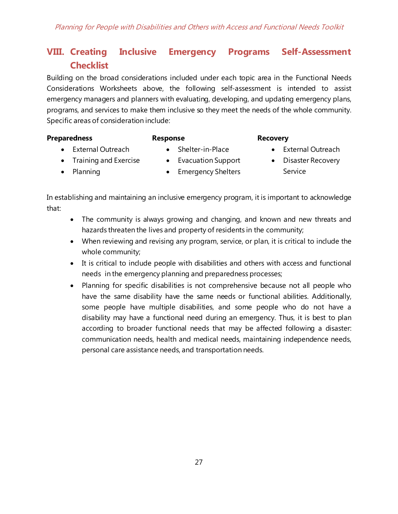# <span id="page-27-0"></span>**VIII. Creating Inclusive Emergency Programs Self-Assessment Checklist**

Building on the broad considerations included under each topic area in the Functional Needs Considerations Worksheets above, the following self-assessment is intended to assist emergency managers and planners with evaluating, developing, and updating emergency plans, programs, and services to make them inclusive so they meet the needs of the whole community. Specific areas of consideration include:

#### **Preparedness**

#### **Response**

## **Recovery**

- External Outreach • Training and Exercise
- Shelter-in-Place
- Evacuation Support
- Emergency Shelters
- Disaster Recovery

• External Outreach

Service

- Planning
- In establishing and maintaining an inclusive emergency program, it is important to acknowledge that:
	- The community is always growing and changing, and known and new threats and hazards threaten the lives and property of residents in the community;
	- When reviewing and revising any program, service, or plan, it is critical to include the whole community;
	- It is critical to include people with disabilities and others with access and functional needs in the emergency planning and preparedness processes;
	- Planning for specific disabilities is not comprehensive because not all people who have the same disability have the same needs or functional abilities. Additionally, some people have multiple disabilities, and some people who do not have a disability may have a functional need during an emergency. Thus, it is best to plan according to broader functional needs that may be affected following a disaster: communication needs, health and medical needs, maintaining independence needs, personal care assistance needs, and transportation needs.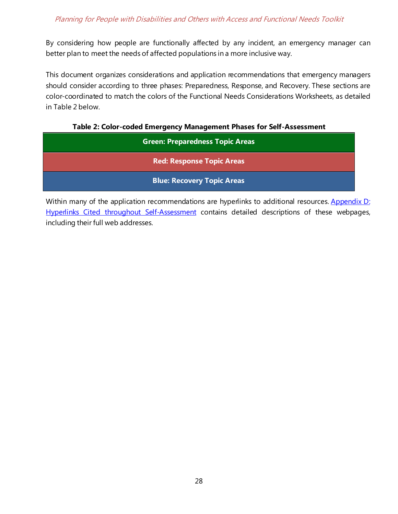## Planning for People with Disabilities and Others with Access and Functional Needs Toolkit

By considering how people are functionally affected by any incident, an emergency manager can better plan to meet the needs of affected populations in a more inclusive way.

This document organizes considerations and application recommendations that emergency managers should consider according to three phases: Preparedness, Response, and Recovery. These sections are color-coordinated to match the colors of the Functional Needs Considerations Worksheets, as detailed in Table 2 below.

**Table 2: Color-coded Emergency Management Phases for Self-Assessment**

<span id="page-28-0"></span>

| <b>Green: Preparedness Topic Areas</b> |  |  |  |  |
|----------------------------------------|--|--|--|--|
| <b>Red: Response Topic Areas</b>       |  |  |  |  |
| <b>Blue: Recovery Topic Areas</b>      |  |  |  |  |

Within many of the application recommendations are hyperlinks to additional resources. Appendix D: [Hyperlinks Cited throughout](#page-46-1) Self-Assessment contains detailed descriptions of these webpages, including their full web addresses.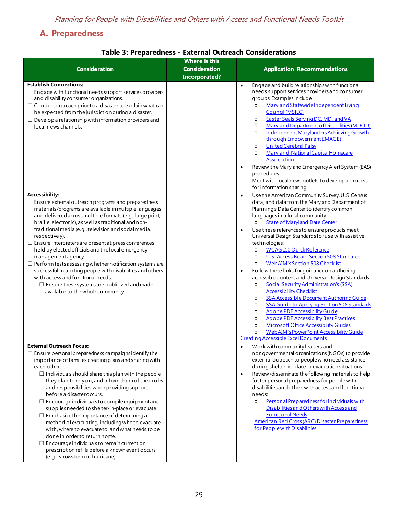# <span id="page-29-0"></span>**A. Preparedness**

<span id="page-29-1"></span>

| <b>Consideration</b>                                                                                                                                                                                                                                                                                                                                                                                                                                                                                                                                                                                                                                                                                                                                                                                                          | <b>Where is this</b><br><b>Consideration</b> | <b>Application Recommendations</b>                                                                                                                                                                                                                                                                                                                                                                                                                                                                                                                                                                                                                                                                                                                                                                                                                                                                                                                                                                                                                                                                                                                                              |
|-------------------------------------------------------------------------------------------------------------------------------------------------------------------------------------------------------------------------------------------------------------------------------------------------------------------------------------------------------------------------------------------------------------------------------------------------------------------------------------------------------------------------------------------------------------------------------------------------------------------------------------------------------------------------------------------------------------------------------------------------------------------------------------------------------------------------------|----------------------------------------------|---------------------------------------------------------------------------------------------------------------------------------------------------------------------------------------------------------------------------------------------------------------------------------------------------------------------------------------------------------------------------------------------------------------------------------------------------------------------------------------------------------------------------------------------------------------------------------------------------------------------------------------------------------------------------------------------------------------------------------------------------------------------------------------------------------------------------------------------------------------------------------------------------------------------------------------------------------------------------------------------------------------------------------------------------------------------------------------------------------------------------------------------------------------------------------|
|                                                                                                                                                                                                                                                                                                                                                                                                                                                                                                                                                                                                                                                                                                                                                                                                                               | <b>Incorporated?</b>                         |                                                                                                                                                                                                                                                                                                                                                                                                                                                                                                                                                                                                                                                                                                                                                                                                                                                                                                                                                                                                                                                                                                                                                                                 |
| <b>Establish Connections:</b><br>$\Box$ Engage with functional needs support services providers<br>and disability consumer organizations.<br>$\Box$ Conduct outreach prior to a disaster to explain what can<br>be expected from the jurisdiction during a disaster.<br>$\Box$ Develop a relationship with information providers and<br>local news channels.                                                                                                                                                                                                                                                                                                                                                                                                                                                                  |                                              | Engage and build relationships with functional<br>$\bullet$<br>needs support services providers and consumer<br>groups. Examples include:<br>Maryland Statewide Independent Living<br>$\circ$<br>Council (MSILC)<br><b>Easter Seals Serving DC, MD, and VA</b><br>$\circ$<br>Maryland Department of Disabilities (MDOD)<br>$\circ$<br>Independent Marylanders Achieving Growth<br>$\circ$<br>through Empowerment (IMAGE)<br><b>United Cerebral Palsy</b><br>$\circ$<br>Maryland-National Capital Homecare<br>$\circ$<br>Association<br>Review the Maryland Emergency Alert System (EAS)<br>$\bullet$<br>procedures.<br>Meet with local news outlets to develop a process<br>for information sharing.                                                                                                                                                                                                                                                                                                                                                                                                                                                                            |
| <b>Accessibility:</b><br>$\Box$ Ensure external outreach programs and preparedness<br>materials/programs are available in multiple languages<br>and delivered across multiple formats (e.g., large print,<br>braille, electronic), as well as traditional and non-<br>traditional media (e.g., television and social media,<br>respectively).<br>$\Box$ Ensure interpreters are present at press conferences<br>held by elected officials and the local emergency<br>management agency.<br>$\Box$ Perform tests assessing whether notification systems are<br>successful in alerting people with disabilities and others<br>with access and functional needs.<br>$\Box$ Ensure these systems are publicized and made<br>available to the whole community.                                                                     |                                              | Use the American Community Survey, U.S. Census<br>$\bullet$<br>data, and data from the Maryland Department of<br>Planning's Data Center to identify common<br>languages in a local community.<br><b>State of Maryland Date Center</b><br>$\circ$<br>Use these references to ensure products meet<br>$\bullet$<br>Universal Design Standards for use with assistive<br>technologies:<br><b>WCAG 2.0 Quick Reference</b><br>$\circ$<br><b>U.S. Access Board Section 508 Standards</b><br>$\circ$<br><b>WebAIM's Section 508 Checklist</b><br>$\circ$<br>Follow these links for guidance on authoring<br>$\bullet$<br>accessible content and Universal Design Standards:<br><b>Social Security Administration's (SSA)</b><br>$\circ$<br><b>Accessibility Checklist</b><br><b>SSA Accessible Document Authoring Guide</b><br>$\circ$<br><b>SSA Guide to Applying Section 508 Standards</b><br>$\circ$<br><b>Adobe PDF Accessibility Guide</b><br>$\circ$<br><b>Adobe PDF Accessibility Best Practices</b><br>$\circ$<br><b>Microsoft Office Accessibility Guides</b><br>$\circ$<br><b>WebAIM's PowerPoint Accessibility Guide</b><br>$\circ$<br>Creating Accessible Excel Documents |
| <b>External Outreach Focus:</b><br>$\Box$ Ensure personal preparedness campaigns identify the<br>importance of families creating plans and sharing with<br>each other.<br>$\Box$ Individuals should share this plan with the people<br>they plan to rely on, and inform them of their roles<br>and responsibilities when providing support,<br>before a disaster occurs.<br>$\Box$ Encourage individuals to compile equipment and<br>supplies needed to shelter-in-place or evacuate.<br>$\Box$ Emphasize the importance of determining a<br>method of evacuating, including who to evacuate<br>with, where to evacuate to, and what needs to be<br>done in order to return home.<br>$\Box$ Encourage individuals to remain current on<br>prescription refills before a known event occurs<br>(e.g., snowstorm or hurricane). |                                              | Work with community leaders and<br>$\bullet$<br>nongovernmental organizations (NGOs) to provide<br>external outreach to people who need assistance<br>during shelter-in-place or evacuation situations.<br>Review/disseminate the following materials to help<br>$\bullet$<br>foster personal preparedness for people with<br>disabilities and others with access and functional<br>needs:<br>Personal Preparedness for Individuals with<br>$\circ$<br>Disabilities and Others with Access and<br><b>Functional Needs</b><br><b>American Red Cross (ARC) Disaster Preparedness</b><br>for Peoplewith Disabilities                                                                                                                                                                                                                                                                                                                                                                                                                                                                                                                                                               |

## **Table 3: Preparedness - External Outreach Considerations**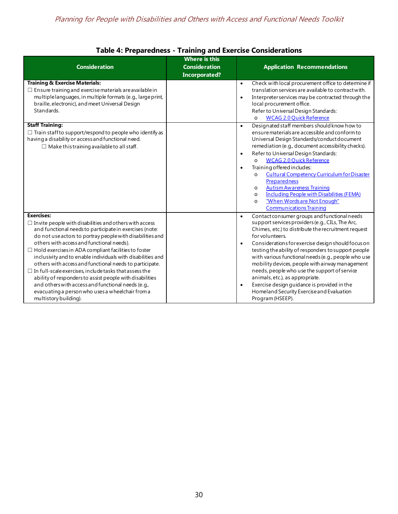<span id="page-30-0"></span>

| <b>Consideration</b>                                                                                                                                                                                                                                                                                                                                                                                                                                                                                                                                                                                                                                                                                             | <b>Where is this</b><br><b>Consideration</b><br><b>Incorporated?</b> | <b>Application Recommendations</b>                                                                                                                                                                                                                                                                                                                                                                                                                                                                                                                                                                                                                                                                                                                                                                                                                                                                                                                              |
|------------------------------------------------------------------------------------------------------------------------------------------------------------------------------------------------------------------------------------------------------------------------------------------------------------------------------------------------------------------------------------------------------------------------------------------------------------------------------------------------------------------------------------------------------------------------------------------------------------------------------------------------------------------------------------------------------------------|----------------------------------------------------------------------|-----------------------------------------------------------------------------------------------------------------------------------------------------------------------------------------------------------------------------------------------------------------------------------------------------------------------------------------------------------------------------------------------------------------------------------------------------------------------------------------------------------------------------------------------------------------------------------------------------------------------------------------------------------------------------------------------------------------------------------------------------------------------------------------------------------------------------------------------------------------------------------------------------------------------------------------------------------------|
| <b>Training &amp; Exercise Materials:</b><br>$\Box$ Ensure training and exercise materials are available in<br>multiple languages, in multiple formats (e.g., large print,<br>braille, electronic), and meet Universal Design<br>Standards.<br><b>Staff Training:</b><br>$\Box$ Train staff to support/respond to people who identify as<br>having a disability or access and functional need.<br>$\Box$ Make this training available to all staff.                                                                                                                                                                                                                                                              |                                                                      | Check with local procurement office to determine if<br>$\bullet$<br>translation services are available to contract with.<br>Interpreter services may be contracted through the<br>$\bullet$<br>local procurement office.<br>Refer to Universal Design Standards:<br><b>WCAG 2.0 Quick Reference</b><br>$\Omega$<br>Designated staff members should know how to<br>$\bullet$<br>ensure materials are accessible and conform to<br>Universal Design Standards/conduct document<br>remediation (e.g., document accessibility checks).<br>Refer to Universal Design Standards:<br>$\bullet$<br><b>WCAG 2.0 Quick Reference</b><br>$\Omega$<br>Training offered includes:<br>$\bullet$<br><b>Cultural Competency Curriculum for Disaster</b><br>$\Omega$<br>Preparedness<br><b>Autism Awareness Training</b><br>$\circ$<br><b>Including People with Disabilities (FEMA)</b><br>$\Omega$<br>"When Words are Not Enough"<br>$\Omega$<br><b>Communications Training</b> |
| <b>Exercises:</b><br>$\Box$ Invite people with disabilities and others with access<br>and functional needs to participate in exercises (note:<br>do not use actors to portray people with disabilities and<br>others with access and functional needs).<br>$\Box$ Hold exercises in ADA compliant facilities to foster<br>inclusivity and to enable individuals with disabilities and<br>others with access and functional needs to participate.<br>$\Box$ In full-scale exercises, include tasks that assess the<br>ability of responders to assist people with disabilities<br>and others with access and functional needs (e.g.,<br>evacuating a person who uses a wheelchair from a<br>multistory building). |                                                                      | Contact consumer groups and functional needs<br>$\bullet$<br>support services providers (e.g., CILs, The Arc,<br>Chimes, etc.) to distribute the recruitment request<br>for volunteers.<br>Considerations for exercise design should focus on<br>$\bullet$<br>testing the ability of responders to support people<br>with various functional needs (e.g., people who use<br>mobility devices, people with airway management<br>needs, people who use the support of service<br>animals, etc.), as appropriate.<br>Exercise design guidance is provided in the<br>$\bullet$<br>Homeland Security Exercise and Evaluation<br>Program (HSEEP).                                                                                                                                                                                                                                                                                                                     |

## **Table 4: Preparedness - Training and Exercise Considerations**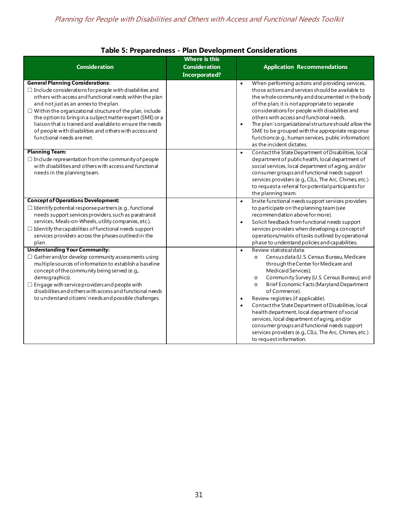<span id="page-31-0"></span>

|                                                                                                                                                                                                                                                                                                                                                                                                                                                                                                  | <b>Where is this</b> |                                                                                                                                                                                                                                                                                                                                                                                                                                                                                                                                                                                                                                                          |
|--------------------------------------------------------------------------------------------------------------------------------------------------------------------------------------------------------------------------------------------------------------------------------------------------------------------------------------------------------------------------------------------------------------------------------------------------------------------------------------------------|----------------------|----------------------------------------------------------------------------------------------------------------------------------------------------------------------------------------------------------------------------------------------------------------------------------------------------------------------------------------------------------------------------------------------------------------------------------------------------------------------------------------------------------------------------------------------------------------------------------------------------------------------------------------------------------|
| <b>Consideration</b>                                                                                                                                                                                                                                                                                                                                                                                                                                                                             | <b>Consideration</b> | <b>Application Recommendations</b>                                                                                                                                                                                                                                                                                                                                                                                                                                                                                                                                                                                                                       |
|                                                                                                                                                                                                                                                                                                                                                                                                                                                                                                  | <b>Incorporated?</b> |                                                                                                                                                                                                                                                                                                                                                                                                                                                                                                                                                                                                                                                          |
| <b>General Planning Considerations:</b><br>$\Box$ Include considerations for people with disabilities and<br>others with access and functional needs within the plan<br>and not just as an annexto the plan.<br>$\Box$ Within the organizational structure of the plan, include<br>the option to bring in a subject matter expert (SME) or a<br>liaison that is trained and available to ensure the needs<br>of people with disabilities and others with access and<br>functional needs are met. |                      | When performing actions and providing services,<br>$\bullet$<br>those actions and services should be available to<br>the whole community and documented in the body<br>of the plan; it is not appropriate to separate<br>considerations for people with disabilities and<br>others with access and functional needs.<br>The plan's organizational structure should allow the<br>$\bullet$<br>SME to be grouped with the appropriate response<br>functions (e.g., human services, public information)<br>as the incident dictates.                                                                                                                        |
| <b>Planning Team:</b><br>$\Box$ Include representation from the community of people<br>with disabilities and others with access and functional<br>needs in the planning team.                                                                                                                                                                                                                                                                                                                    |                      | Contact the State Department of Disabilities, local<br>$\bullet$<br>department of publichealth, local department of<br>social services, local department of aging, and/or<br>consumer groups and functional needs support<br>services providers (e.g., CILs, The Arc, Chimes, etc.)<br>to request a referral for potential participants for<br>the planning team.                                                                                                                                                                                                                                                                                        |
| <b>Concept of Operations Development:</b><br>$\Box$ Identify potential response partners (e.g., functional<br>needs support services providers, such as paratransit<br>services, Meals-on-Wheels, utility companies, etc.).<br>$\Box$ Identify the capabilities of functional needs support<br>services providers across the phases outlined in the<br>plan.                                                                                                                                     |                      | Invite functional needs support services providers<br>$\bullet$<br>to participate on the planning team (see<br>recommendation above for more).<br>Solicit feedback from functional needs support<br>$\bullet$<br>services providers when developing a concept of<br>operations/matrix of tasks outlined by operational<br>phase to understand policies and capabilities.                                                                                                                                                                                                                                                                                 |
| <b>Understanding Your Community:</b><br>$\Box$ Gather and/or develop community assessments using<br>multiple sources of information to establish a baseline<br>concept of the community being served (e.g.,<br>demographics).<br>$\Box$ Engage with service providers and people with<br>disabilities and others with access and functional needs<br>to understand citizens' needs and possible challenges.                                                                                      |                      | Review statistical data:<br>$\bullet$<br>Census data (U.S. Census Bureau, Medicare<br>$\circ$<br>through the Center for Medicare and<br>Medicaid Services);<br>Community Survey (U.S. Census Bureau); and<br>$\circ$<br>Brief Economic Facts (Maryland Department<br>$\circ$<br>of Commerce).<br>Review registries (if applicable).<br>$\bullet$<br>Contact the State Department of Disabilities, local<br>$\bullet$<br>health department, local department of social<br>services, local department of aging, and/or<br>consumer groups and functional needs support<br>services providers (e.g., CILs, The Arc, Chimes, etc.)<br>to requestinformation. |

## **Table 5: Preparedness - Plan Development Considerations**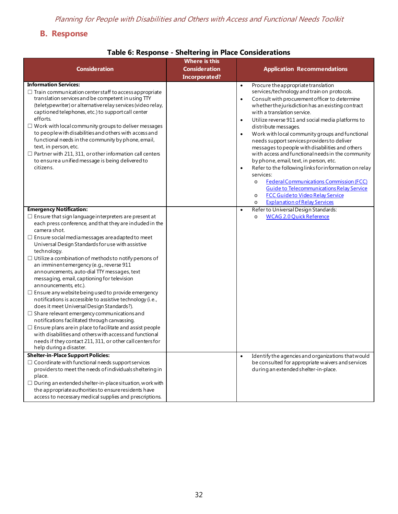# <span id="page-32-0"></span>**B. Response**

## **Table 6: Response - Sheltering in Place Considerations**

<span id="page-32-1"></span>

| <b>Consideration</b>                                                                                                                                                                                                                                                                                                                                                                                                                                                                                                                                                                                                                                                                                                                                                                                                                                                                                                                                                                                                                               | <b>Where is this</b><br><b>Consideration</b><br>Incorporated? | <b>Application Recommendations</b>                                                                                                                                                                                                                                                                                                                                                                                                                                                                                                                                                                                                                                                                                                                                                                                                                                                                                       |
|----------------------------------------------------------------------------------------------------------------------------------------------------------------------------------------------------------------------------------------------------------------------------------------------------------------------------------------------------------------------------------------------------------------------------------------------------------------------------------------------------------------------------------------------------------------------------------------------------------------------------------------------------------------------------------------------------------------------------------------------------------------------------------------------------------------------------------------------------------------------------------------------------------------------------------------------------------------------------------------------------------------------------------------------------|---------------------------------------------------------------|--------------------------------------------------------------------------------------------------------------------------------------------------------------------------------------------------------------------------------------------------------------------------------------------------------------------------------------------------------------------------------------------------------------------------------------------------------------------------------------------------------------------------------------------------------------------------------------------------------------------------------------------------------------------------------------------------------------------------------------------------------------------------------------------------------------------------------------------------------------------------------------------------------------------------|
| <b>Information Services:</b><br>$\Box$ Train communication center staff to access appropriate<br>translation services and be competent in using TTY<br>(teletypewriter) or alternative relay services (video relay,<br>captioned telephones, etc.) to support call center<br>efforts.<br>$\Box$ Work with local community groups to deliver messages<br>to people with disabilities and others with access and<br>functional needs in the community by phone, email,<br>text, in person, etc.<br>$\Box$ Partner with 211, 311, or other information call centers<br>to ensure a unified message is being delivered to<br>citizens.                                                                                                                                                                                                                                                                                                                                                                                                                 |                                                               | Procure the appropriate translation<br>$\bullet$<br>services/technology and train on protocols.<br>Consult with procurement officer to determine<br>$\bullet$<br>whether the jurisdiction has an existing contract<br>with a translation service.<br>Utilize reverse 911 and social media platforms to<br>$\bullet$<br>distribute messages.<br>Work with local community groups and functional<br>$\bullet$<br>needs support services providers to deliver<br>messages to people with disabilities and others<br>with access and functional needs in the community<br>by phone, email, text, in person, etc.<br>Refer to the following links for information on relay<br>$\bullet$<br>services:<br><b>Federal Communications Commission (FCC)</b><br>$\circ$<br><b>Guide to Telecommunications Relay Service</b><br><b>FCC Guideto Video Relay Service</b><br>$\circ$<br><b>Explanation of Relay Services</b><br>$\circ$ |
| <b>Emergency Notification:</b><br>$\Box$ Ensure that sign language interpreters are present at<br>each press conference, and that they are induded in the<br>camera shot.<br>$\Box$ Ensure social media messages are adapted to meet<br>Universal Design Standards for use with assistive<br>technology.<br>$\Box$ Utilize a combination of methods to notify persons of<br>an imminent emergency (e.g., reverse 911<br>announcements, auto-dial TTY messages, text<br>messaging, email, captioning for television<br>announcements, etc.).<br>$\Box$ Ensure any website being used to provide emergency<br>notifications is accessible to assistive technology (i.e.,<br>does it meet Universal Design Standards?).<br>$\Box$ Share relevant emergency communications and<br>notifications facilitated through canvassing.<br>$\Box$ Ensure plans are in place to facilitate and assist people<br>with disabilities and others with access and functional<br>needs if they contact 211, 311, or other call centers for<br>help during a disaster. |                                                               | Refer to Universal Design Standards:<br>$\bullet$<br><b>WCAG 2.0 Quick Reference</b><br>$\circ$                                                                                                                                                                                                                                                                                                                                                                                                                                                                                                                                                                                                                                                                                                                                                                                                                          |
| <b>Shelter-in-Place Support Policies:</b><br>$\Box$ Coordinate with functional needs support services<br>providers to meet the needs of individuals sheltering in<br>place.<br>$\Box$ During an extended shelter-in-place situation, work with<br>the appropriate authorities to ensure residents have<br>access to necessary medical supplies and prescriptions.                                                                                                                                                                                                                                                                                                                                                                                                                                                                                                                                                                                                                                                                                  |                                                               | Identify the agencies and organizations that would<br>$\bullet$<br>be consulted for appropriate waivers and services<br>during an extended shelter-in-place.                                                                                                                                                                                                                                                                                                                                                                                                                                                                                                                                                                                                                                                                                                                                                             |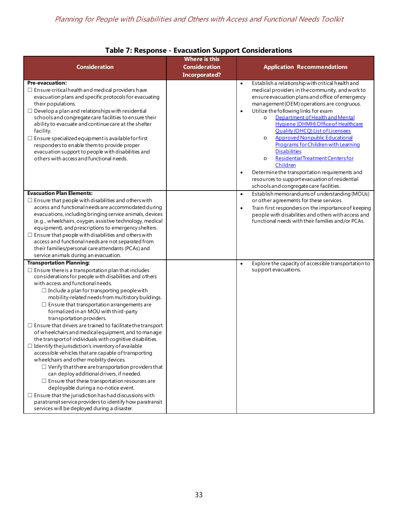<span id="page-33-0"></span>

|                                                                                                                       | <b>Where is this</b> |                                                                                                          |
|-----------------------------------------------------------------------------------------------------------------------|----------------------|----------------------------------------------------------------------------------------------------------|
| <b>Consideration</b>                                                                                                  | <b>Consideration</b> | <b>Application Recommendations</b>                                                                       |
|                                                                                                                       | <b>Incorporated?</b> |                                                                                                          |
| <b>Pre-evacuation:</b>                                                                                                |                      | Establish a relationship with critical health and<br>$\bullet$                                           |
| $\Box$ Ensure critical health and medical providers have                                                              |                      | medical providers in the community, and work to                                                          |
| evacuation plans and specific protocols for evacuating                                                                |                      | ensure evacuation plans and office of emergency                                                          |
| their populations.                                                                                                    |                      | management (OEM) operations are congruous.                                                               |
| $\Box$ Develop a plan and relationships with residential                                                              |                      | Utilize the following links for exam<br>$\bullet$                                                        |
| schools and congregate care facilities to ensure their                                                                |                      | Department of Health and Mental<br>$\circ$                                                               |
| ability to evacuate and continue care at the shelter                                                                  |                      | Hygiene (DHMH) Office of Healthcare<br><b>Quality (OHCQ) List of Licensees</b>                           |
| facility.<br>$\Box$ Ensure specialized equipment is available for first                                               |                      | <b>Approved Nonpublic Educational</b><br>$\circ$                                                         |
| responders to enable them to provide proper                                                                           |                      | Programs for Children with Learning                                                                      |
| evacuation support to people with disabilities and                                                                    |                      | <b>Disabilities</b>                                                                                      |
| others with access and functional needs.                                                                              |                      | Residential Treatment Centers for<br>$\circ$                                                             |
|                                                                                                                       |                      | Children                                                                                                 |
|                                                                                                                       |                      | Determine the transportation requirements and<br>$\bullet$                                               |
|                                                                                                                       |                      | resources to support evacuation of residential                                                           |
|                                                                                                                       |                      | schools and congregate care facilities.                                                                  |
| <b>Evacuation Plan Elements:</b>                                                                                      |                      | Establish memorandums of understanding (MOUs)<br>$\bullet$                                               |
| $\Box$ Ensure that people with disabilities and others with                                                           |                      | or other agreements for these services.                                                                  |
| access and functional needs are accommodated during                                                                   |                      | Train first responders on the importance of keeping<br>$\bullet$                                         |
| evacuations, including bringing service animals, devices<br>(e.g., wheelchairs, oxygen, assistive technology, medical |                      | people with disabilities and others with access and<br>functional needs with their families and/or PCAs. |
| equipment), and prescriptions to emergency shelters.                                                                  |                      |                                                                                                          |
| $\Box$ Ensure that people with disabilities and others with                                                           |                      |                                                                                                          |
| access and functional needs are not separated from                                                                    |                      |                                                                                                          |
| their families/personal care attendants (PCAs) and                                                                    |                      |                                                                                                          |
| service animals during an evacuation.                                                                                 |                      |                                                                                                          |
| <b>Transportation Planning:</b>                                                                                       |                      | Explore the capacity of accessible transportation to<br>$\bullet$                                        |
| $\Box$ Ensure there is a transportation plan that includes                                                            |                      | support evacuations.                                                                                     |
| considerations for people with disabilities and others                                                                |                      |                                                                                                          |
| with access and functional needs.                                                                                     |                      |                                                                                                          |
| $\Box$ Include a plan for transporting people with                                                                    |                      |                                                                                                          |
| mobility-related needs from multistory buildings.                                                                     |                      |                                                                                                          |
| $\Box$ Ensure that transportation arrangements are<br>formalized in an MOU with third-party                           |                      |                                                                                                          |
| transportation providers.                                                                                             |                      |                                                                                                          |
| $\Box$ Ensure that drivers are trained to facilitate the transport                                                    |                      |                                                                                                          |
| of wheelchairs and medical equipment, and to manage                                                                   |                      |                                                                                                          |
| the transport of individuals with cognitive disabilities.                                                             |                      |                                                                                                          |
| $\Box$ Identify the jurisdiction's inventory of available                                                             |                      |                                                                                                          |
| accessible vehicles that are capable of transporting                                                                  |                      |                                                                                                          |
| wheelchairs and other mobility devices.                                                                               |                      |                                                                                                          |
| $\Box$ Verify that there are transportation providers that                                                            |                      |                                                                                                          |
| can deploy additional drivers, if needed.                                                                             |                      |                                                                                                          |
| $\Box$ Ensure that these transportation resources are                                                                 |                      |                                                                                                          |
| deployable during a no-notice event.                                                                                  |                      |                                                                                                          |
| $\Box$ Ensure that the jurisdiction has had discussions with                                                          |                      |                                                                                                          |
| paratransit service providers to identify how paratransit<br>services will be deployed during a disaster.             |                      |                                                                                                          |
|                                                                                                                       |                      |                                                                                                          |

## **Table 7: Response - Evacuation Support Considerations**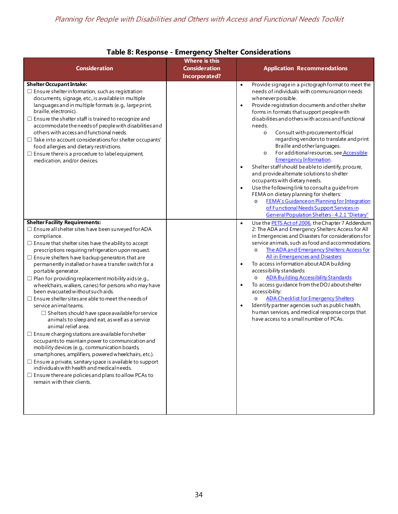<span id="page-34-0"></span>

|                                                                                                                                                                                                                                                                                                                                                                                                                                                                                                                                                                                                                                                                                                                                                                                                                                                                                                                                                                                                                                                                                                                                                                                                                  | <b>Where is this</b>                         |                                                                                                                                                                                                                                                                                                                                                                                                                                                                                                                                                                                                                                                                                                                                                                                                                                                                                                                                                                        |
|------------------------------------------------------------------------------------------------------------------------------------------------------------------------------------------------------------------------------------------------------------------------------------------------------------------------------------------------------------------------------------------------------------------------------------------------------------------------------------------------------------------------------------------------------------------------------------------------------------------------------------------------------------------------------------------------------------------------------------------------------------------------------------------------------------------------------------------------------------------------------------------------------------------------------------------------------------------------------------------------------------------------------------------------------------------------------------------------------------------------------------------------------------------------------------------------------------------|----------------------------------------------|------------------------------------------------------------------------------------------------------------------------------------------------------------------------------------------------------------------------------------------------------------------------------------------------------------------------------------------------------------------------------------------------------------------------------------------------------------------------------------------------------------------------------------------------------------------------------------------------------------------------------------------------------------------------------------------------------------------------------------------------------------------------------------------------------------------------------------------------------------------------------------------------------------------------------------------------------------------------|
| <b>Consideration</b>                                                                                                                                                                                                                                                                                                                                                                                                                                                                                                                                                                                                                                                                                                                                                                                                                                                                                                                                                                                                                                                                                                                                                                                             | <b>Consideration</b><br><b>Incorporated?</b> | <b>Application Recommendations</b>                                                                                                                                                                                                                                                                                                                                                                                                                                                                                                                                                                                                                                                                                                                                                                                                                                                                                                                                     |
| <b>Shelter Occupant Intake:</b><br>$\Box$ Ensure shelter information, such as registration<br>documents, signage, etc., is available in multiple<br>languages and in multiple formats (e.g., large print,<br>braille, electronic).<br>$\Box$ Ensure the shelter staff is trained to recognize and<br>accommodate the needs of people with disabilities and<br>others with access and functional needs.<br>$\Box$ Take into account considerations for shelter occupants'<br>food allergies and dietary restrictions.<br>$\Box$ Ensure there is a procedure to label equipment,<br>medication, and/or devices.                                                                                                                                                                                                                                                                                                                                                                                                                                                                                                                                                                                                    |                                              | Provide signage in a pictograph format to meet the<br>$\bullet$<br>needs of individuals with communication needs<br>whenever possible.<br>Provide registration documents and other shelter<br>$\bullet$<br>forms in formats that support people with<br>disabilities and others with access and functional<br>needs.<br>Consult with procurement official<br>$\circ$<br>regarding vendors to translate and print<br>Braille and other languages.<br>For additional resources, see <b>Accessible</b><br>$\circ$<br><b>Emergency Information</b><br>Shelter staff should be able to identify, procure,<br>$\bullet$<br>and provide alternate solutions to shelter<br>occupants with dietary needs.<br>Use the following link to consult a quide from<br>$\bullet$<br>FEMA on dietary planning for shelters:<br><b>FEMA's Guidance on Planning for Integration</b><br>$\circ$<br>of Functional Needs Support Services in<br>General Population Shelters - 4.2.1 "Dietary" |
| <b>Shelter Facility Requirements:</b><br>$\Box$ Ensure all shelter sites have been surveyed for ADA<br>compliance.<br>$\Box$ Ensure that shelter sites have the ability to accept<br>prescriptions requiring refrigeration upon request.<br>$\Box$ Ensure shelters have backup generators that are<br>permanently installed or have a transfer switch for a<br>portable generator.<br>$\Box$ Plan for providing replacement mobility aids (e.g.,<br>wheelchairs, walkers, canes) for persons who may have<br>been evacuated without such aids.<br>$\Box$ Ensure shelter sites are able to meet the needs of<br>service animal teams.<br>$\Box$ Shelters should have space available for service<br>animals to sleep and eat, as well as a service<br>animal relief area.<br>$\Box$ Ensure charging stations are available for shelter<br>occupants to maintain power to communication and<br>mobility devices (e.g., communication boards,<br>smartphones, amplifiers, powered wheelchairs, etc.).<br>$\Box$ Ensure a private, sanitary space is available to support<br>individuals with health and medical needs.<br>$\Box$ Ensure there are policies and plans to allow PCAs to<br>remain with their clients. |                                              | Use the PETS Act of 2006, the Chapter 7 Addendum<br>$\bullet$<br>2: The ADA and Emergency Shelters: Access for All<br>in Emergencies and Disasters for considerations for<br>service animals, such as food and accommodations.<br>The ADA and Emergency Shelters: Access for<br>$\circ$<br><b>All in Emergencies and Disasters</b><br>To access information about ADA building<br>$\bullet$<br>accessibility standards:<br><b>ADA Building Accessibility Standards</b><br>To access guidance from the DOJ about shelter<br>$\bullet$<br>accessibility:<br><b>ADA Checklist for Emergency Shelters</b><br>$\circ$<br>Identify partner agencies such as public health,<br>human services, and medical response corps that<br>have access to a small number of PCAs.                                                                                                                                                                                                      |

## **Table 8: Response - Emergency Shelter Considerations**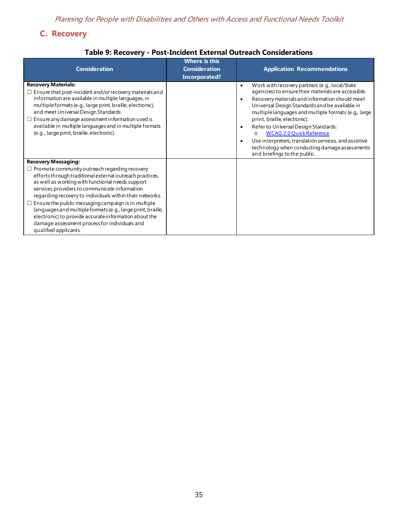# <span id="page-35-0"></span>**C. Recovery**

## **Table 9: Recovery - Post-Incident External Outreach Considerations**

<span id="page-35-1"></span>

| <b>Consideration</b>                                                                                                                                                                                                                                                                                                                                                                                                                                                                                                                                                            | <b>Where is this</b><br><b>Consideration</b><br>Incorporated? | <b>Application Recommendations</b>                                                                                                                                                                                                                                                                                                                                                                                                                                                                                                                                                     |
|---------------------------------------------------------------------------------------------------------------------------------------------------------------------------------------------------------------------------------------------------------------------------------------------------------------------------------------------------------------------------------------------------------------------------------------------------------------------------------------------------------------------------------------------------------------------------------|---------------------------------------------------------------|----------------------------------------------------------------------------------------------------------------------------------------------------------------------------------------------------------------------------------------------------------------------------------------------------------------------------------------------------------------------------------------------------------------------------------------------------------------------------------------------------------------------------------------------------------------------------------------|
| <b>Recovery Materials:</b><br>$\Box$ Ensure that post-incident and/or recovery materials and<br>information are available in multiple languages, in<br>multiple formats (e.g., large print, braille, electronic),<br>and meet Universal Design Standards.<br>$\Box$ Ensure any damage assessment information used is<br>available in multiple languages and in multiple formats<br>(e.g., large print, braille, electronic).                                                                                                                                                    |                                                               | Work with recovery partners (e.g., local/State<br>$\bullet$<br>agencies) to ensure their materials are accessible.<br>Recovery materials and information should meet<br>$\bullet$<br>Universal Design Standards and be available in<br>multiple languages and multiple formats (e.g., large<br>print, braille, electronic).<br>Refer to Universal Design Standards:<br>$\bullet$<br><b>WCAG 2.0 Quick Reference</b><br>$\Omega$<br>Use interpreters, translation services, and assistive<br>$\bullet$<br>technology when conducting damage assessments<br>and briefings to the public. |
| <b>Recovery Messaging:</b><br>$\Box$ Promote community outreach regarding recovery<br>efforts through traditional external outreach practices,<br>as well as working with functional needs support<br>services providers to communicate information<br>regarding recovery to individuals within their networks.<br>$\Box$ Ensure the public messaging campaign is in multiple<br>languages and multiple formats (e.g., large print, braille,<br>electronic) to provide accurate information about the<br>damage assessment process for individuals and<br>qualified applicants. |                                                               |                                                                                                                                                                                                                                                                                                                                                                                                                                                                                                                                                                                        |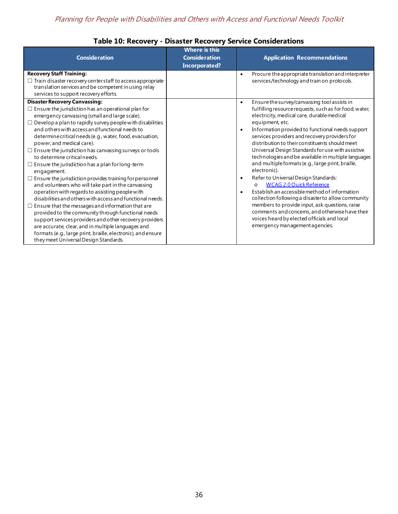<span id="page-36-0"></span>

| <b>Consideration</b>                                                                                                                                                                                                                                                                                                                                                                                                                                                                                                                                                                                                                                                                                                                                                                                                                                                                                                                                                                                                                                                                                                                | Where is this<br><b>Consideration</b><br><b>Incorporated?</b> | <b>Application Recommendations</b>                                                                                                                                                                                                                                                                                                                                                                                                                                                                                                                                                                                                                                                                                                                                                                                                                                                                                                                     |
|-------------------------------------------------------------------------------------------------------------------------------------------------------------------------------------------------------------------------------------------------------------------------------------------------------------------------------------------------------------------------------------------------------------------------------------------------------------------------------------------------------------------------------------------------------------------------------------------------------------------------------------------------------------------------------------------------------------------------------------------------------------------------------------------------------------------------------------------------------------------------------------------------------------------------------------------------------------------------------------------------------------------------------------------------------------------------------------------------------------------------------------|---------------------------------------------------------------|--------------------------------------------------------------------------------------------------------------------------------------------------------------------------------------------------------------------------------------------------------------------------------------------------------------------------------------------------------------------------------------------------------------------------------------------------------------------------------------------------------------------------------------------------------------------------------------------------------------------------------------------------------------------------------------------------------------------------------------------------------------------------------------------------------------------------------------------------------------------------------------------------------------------------------------------------------|
| <b>Recovery Staff Training:</b><br>$\Box$ Train disaster recovery center staff to access appropriate<br>translation services and be competent in using relay<br>services to support recovery efforts.                                                                                                                                                                                                                                                                                                                                                                                                                                                                                                                                                                                                                                                                                                                                                                                                                                                                                                                               |                                                               | Procure the appropriate translation and interpreter<br>$\bullet$<br>services/technology and train on protocols.                                                                                                                                                                                                                                                                                                                                                                                                                                                                                                                                                                                                                                                                                                                                                                                                                                        |
| <b>Disaster Recovery Canvassing:</b><br>$\Box$ Ensure the jurisdiction has an operational plan for<br>emergency canvassing (small and large scale).<br>$\Box$ Develop a plan to rapidly survey people with disabilities<br>and others with access and functional needs to<br>determine critical needs (e.g., water, food, evacuation,<br>power, and medical care).<br>$\Box$ Ensure the jurisdiction has canvassing surveys or tools<br>to determine critical needs.<br>$\Box$ Ensure the jurisdiction has a plan for long-term<br>engagement.<br>$\Box$ Ensure the jurisdiction provides training for personnel<br>and volunteers who will take part in the canvassing<br>operation with regards to assisting people with<br>disabilities and others with access and functional needs.<br>$\Box$ Ensure that the messages and information that are<br>provided to the community through functional needs<br>support services providers and other recovery providers<br>are accurate, clear, and in multiple languages and<br>formats (e.g., large print, braille, electronic), and ensure<br>they meet Universal Design Standards. |                                                               | Ensure the survey/canvassing tool assists in<br>$\bullet$<br>fulfilling resource requests, such as for food, water,<br>electricity, medical care, durable medical<br>equipment, etc.<br>Information provided to functional needs support<br>$\bullet$<br>services providers and recovery providers for<br>distribution to their constituents should meet<br>Universal Design Standards for use with assistive<br>technologies and be available in multiple languages<br>and multiple formats (e.g., large print, braille,<br>electronic).<br>Refer to Universal Design Standards:<br>$\bullet$<br><b>WCAG 2.0 Quick Reference</b><br>$\Omega$<br>Establish an accessible method of information<br>$\bullet$<br>collection following a disaster to allow community<br>members to provide input, ask questions, raise<br>comments and concems, and otherwise have their<br>voices heard by elected officials and local<br>emergency management agencies. |

## **Table 10: Recovery - Disaster Recovery Service Considerations**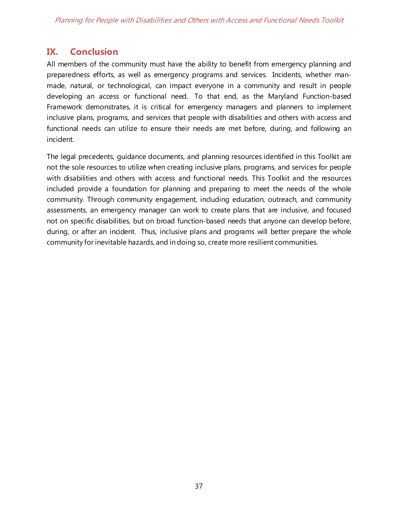# <span id="page-37-0"></span>**IX. Conclusion**

All members of the community must have the ability to benefit from emergency planning and preparedness efforts, as well as emergency programs and services. Incidents, whether manmade, natural, or technological, can impact everyone in a community and result in people developing an access or functional need. To that end, as the Maryland Function-based Framework demonstrates, it is critical for emergency managers and planners to implement inclusive plans, programs, and services that people with disabilities and others with access and functional needs can utilize to ensure their needs are met before, during, and following an incident.

The legal precedents, guidance documents, and planning resources identified in this Toolkit are not the sole resources to utilize when creating inclusive plans, programs, and services for people with disabilities and others with access and functional needs. This Toolkit and the resources included provide a foundation for planning and preparing to meet the needs of the whole community. Through community engagement, including education, outreach, and community assessments, an emergency manager can work to create plans that are inclusive, and focused not on specific disabilities, but on broad function-based needs that anyone can develop before, during, or after an incident. Thus, inclusive plans and programs will better prepare the whole community for inevitable hazards, and in doing so, create more resilient communities.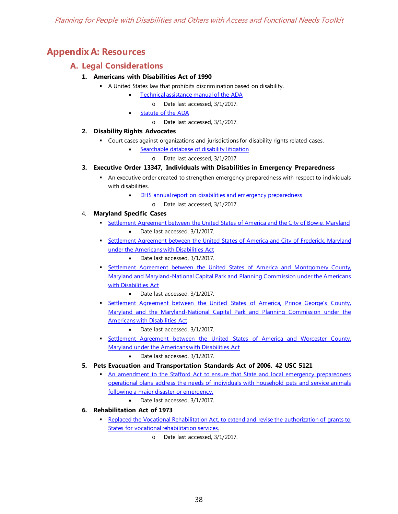# <span id="page-38-1"></span><span id="page-38-0"></span>**Appendix A: Resources**

### **A. Legal Considerations**

#### **1. Americans with Disabilities Act of 1990**

- A United States law that prohibits discrimination based on disability.
	- [Technical assistance manual of the ADA](http://www.ada.gov/ada_intro.htm)
		- o Date last accessed, 3/1/2017.
	- [Statute of the ADA](http://www.ada.gov/pubs/adastatute08.htm)
		- o Date last accessed, 3/1/2017.

#### **2. Disability Rights Advocates**

- Court cases against organizations and jurisdictions for disability rights related cases.
	- [Searchable database of disability litigation](http://dralegal.org/impact/cases)
		- o Date last accessed, 3/1/2017.

#### **3. Executive Order 13347, Individuals with Disabilities in Emergency Preparedness**

- An executive order created to strengthen emergency preparedness with respect to individuals with disabilities.
	- [DHS annual report on disabilities and emergency preparedness](http://www.dhs.gov/xlibrary/assets/CRCL_IWDEP_AnnualReport_2005.pdf)
		- o Date last accessed, 3/1/2017.

#### 4. **Maryland Specific Cases**

- [Settlement Agreement between the United States of America and the City of Bowie, Maryland](http://www.ada.gov/bowiemd.htm) Date last accessed, 3/1/2017.
- [Settlement Agreement between the United States of America and City of Frederick, Maryland](http://www.ada.gov/fredericksa.htm)  [under the Americans with Disabilities Act](http://www.ada.gov/fredericksa.htm)
	- Date last accessed, 3/1/2017.
- Settlement Agreement between the United States of America and Montgomery County, [Maryland and Maryland-National Capital Park and Planning Commission under the Americans](http://www.ada.gov/montgomery_co_pca/montgomery_co_sa.htm)  [with Disabilities Act](http://www.ada.gov/montgomery_co_pca/montgomery_co_sa.htm)
	- Date last accessed, 3/1/2017.
- [Settlement Agreement between the United States of America, Prince George's County,](http://www.ada.gov/princegeorgesmdsa.htm)  [Maryland and the Maryland-National Capital Park and Planning Commission under the](http://www.ada.gov/princegeorgesmdsa.htm)  [Americans with Disabilities Act](http://www.ada.gov/princegeorgesmdsa.htm) 
	- Date last accessed, 3/1/2017.
- Settlement Agreement between the United States of America and Worcester County, [Maryland under the Americans with Disabilities Act](http://www.ada.gov/worceste.htm)
	- Date last accessed, 3/1/2017.
- **5. Pets Evacuation and Transportation Standards Act of 2006. 42 USC 5121**
	- An amendment to the Stafford Act to ensure that State and local emergency preparedness [operational plans address the needs of individuals with household pets and service animals](https://www.gpo.gov/fdsys/pkg/PLAW-109publ308/pdf/PLAW-109publ308.pdf)  [following a major disaster or emergency.](https://www.gpo.gov/fdsys/pkg/PLAW-109publ308/pdf/PLAW-109publ308.pdf)
		- Date last accessed, 3/1/2017.

#### **6. Rehabilitation Act of 1973**

- [Replaced the Vocational Rehabilitation Act, to extend and revise the authorization of grants to](https://www.disability.gov/rehabilitation-act-1973/)  [States for vocational rehabilitation services.](https://www.disability.gov/rehabilitation-act-1973/)
	- o Date last accessed, 3/1/2017.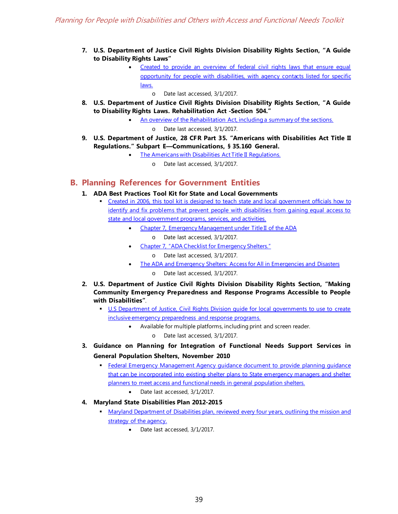- **7. U.S. Department of Justice Civil Rights Division Disability Rights Section, "A Guide to Disability Rights Laws"**
	- [Created to provide an overview of federal civil rights laws that ensure equal](http://www.ada.gov/cguide.htm)  [opportunity for people with disabilities, with agency contacts listed for specific](http://www.ada.gov/cguide.htm)  [laws.](http://www.ada.gov/cguide.htm)
		- o Date last accessed, 3/1/2017.
- **8. U.S. Department of Justice Civil Rights Division Disability Rights Section, "A Guide to Disability Rights Laws. Rehabilitation Act -Section 504."**
	- [An overview of the Rehabilitation Act, including a summary of the sections.](http://www.ada.gov/cguide.htm#anchor65610)
		- o Date last accessed, 3/1/2017.
- **9. U.S. Department of Justice, 28 CFR Part 35. "Americans with Disabilities Act Title II Regulations." Subpart E—Communications, § 35.160 General.**
	- [The Americans with Disabilities Act Title II Regulations.](http://www.ada.gov/regs2010/titleII_2010/titleII_2010_regulations.htm#subparte)
		- o Date last accessed, 3/1/2017.

### <span id="page-39-0"></span>**B. Planning References for Government Entities**

- **1. ADA Best Practices Tool Kit for State and Local Governments**
	- [Created in 2006, this tool kit is designed to teach state and local government officials how to](http://www.ada.gov/pcatoolkit/toolkitmain.htm)  [identify and fix problems that prevent people with disabilities from gaining equal access to](http://www.ada.gov/pcatoolkit/toolkitmain.htm)  [state and local government programs, services, and activities.](http://www.ada.gov/pcatoolkit/toolkitmain.htm) 
		- [Chapter 7, Emergency Management under Title II of the ADA](http://www.ada.gov/pcatoolkit/chap7emergencymgmt.htm)
			- o Date last accessed, 3/1/2017.
		- [Chapter 7, "ADA Checklist for Emergency Shelters."](http://www.ada.gov/pcatoolkit/chap7shelterchk.htm)
			- o Date last accessed, 3/1/2017.
		- [The ADA and Emergency Shelters: Access for All in Emergencies and Disasters](http://www.ada.gov/pcatoolkit/chap7shelterprog.htm)
			- o Date last accessed, 3/1/2017.
- **2. U.S. Department of Justice Civil Rights Division Disability Rights Section, "Making Community Emergency Preparedness and Response Programs Accessible to People with Disabilities"**.
	- U.S Department of Justice, Civil Rights Division quide for local governments to use to create [inclusive emergency preparedness and response programs.](http://www.ada.gov/emergencyprep.htm) 
		- Available for multiple platforms, including print and screen reader.
			- o Date last accessed, 3/1/2017.
- **3. Guidance on Planning for Integration of Functional Needs Support Services in General Population Shelters, November 2010**
	- [Federal Emergency Management Agency guidance document to provide planning guidance](https://www.fema.gov/pdf/about/odic/fnss_guidance.pdf)  [that can be incorporated into existing shelter plans to State emergency managers and shelter](https://www.fema.gov/pdf/about/odic/fnss_guidance.pdf)  [planners to meet access and functional needs in general population shelters.](https://www.fema.gov/pdf/about/odic/fnss_guidance.pdf)
		- Date last accessed, 3/1/2017.
- **4. Maryland State Disabilities Plan 2012-2015**
	- Maryland Department of Disabilities plan, reviewed every four years, outlining the mission and [strategy of the agency.](http://mdod.maryland.gov/pub/Documents/2012-2015%20State%20Disabilities%20Plan%20IADB%20Approved%20Final.pdf)
		- Date last accessed, 3/1/2017.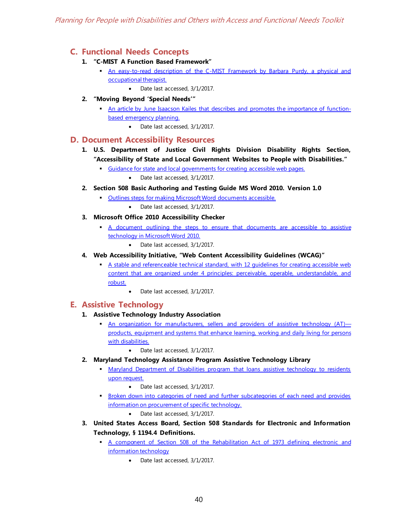## <span id="page-40-0"></span>**C. Functional Needs Concepts**

- **1. "C-MIST A Function Based Framework"**
	- [An easy-to-read description of the C-MIST Framework by Barbara Purdy, a physical and](http://www.freetobe.ca/resources/pdf/C-MISTforEmergencyPlanning.pdf)  [occupational therapist.](http://www.freetobe.ca/resources/pdf/C-MISTforEmergencyPlanning.pdf)
		- Date last accessed, 3/1/2017.
- **2. "Moving Beyond 'Special Needs'"** 
	- [An article by June Isaacson Kailes that describes and promotes the importance of function](http://www.jik.com/KailesEndersbeyond.pdf)[based emergency planning.](http://www.jik.com/KailesEndersbeyond.pdf) 
		- Date last accessed, 3/1/2017.

### <span id="page-40-1"></span>**D. Document Accessibility Resources**

- **1. U.S. Department of Justice Civil Rights Division Disability Rights Section, "Accessibility of State and Local Government Websites to People with Disabilities."** 
	- [Guidance for state and local governments for creating accessible web pages.](http://www.ada.gov/websites2.htm) 
		- Date last accessed, 3/1/2017.
- **2. Section 508 Basic Authoring and Testing Guide MS Word 2010. Version 1.0**
	- [Outlines steps for making Microsoft Word documents accessible.](https://www.section508.gov/sites/default/files/Section%20508%20Basic%20Authoring%20and%20Testing%20Guide%20Word%202010%20v%201.0%201.29.2015%20FINAL.docx)
		- Date last accessed, 3/1/2017.
- **3. Microsoft Office 2010 Accessibility Checker**
	- A document outlining the steps to ensure that documents are accessible to assistive [technology in Microsoft Word 2010.](https://www.cms.gov/Research-Statistics-Data-and-Systems/CMS-Information-Technology/Section508/Downloads/Tip-sheet-for-Microsoft-Office-Accessibility-Checker.pdf) 
		- Date last accessed, 3/1/2017.
- **4. Web Accessibility Initiative, "Web Content Accessibility Guidelines (WCAG)"**
	- [A stable and referenceable technical standard, with 12 guidelines for creating accessible web](https://www.w3.org/WAI/intro/w3c-process.php)  [content that are organized under 4 principles: perceivable, operable, understandable, and](https://www.w3.org/WAI/intro/w3c-process.php)  [robust.](https://www.w3.org/WAI/intro/w3c-process.php)
		- Date last accessed, 3/1/2017.

## <span id="page-40-2"></span>**E. Assistive Technology**

- **1. Assistive Technology Industry Association**
	- [An organization for manufacturers, sellers and providers of assistive technology \(AT\)](https://www.atia.org/at-resources/what-is-at/) [products, equipment and systems that enhance learning, working and daily living for persons](https://www.atia.org/at-resources/what-is-at/)  [with disabilities.](https://www.atia.org/at-resources/what-is-at/)
		- Date last accessed, 3/1/2017.
- **2. Maryland Technology Assistance Program Assistive Technology Library**
	- Maryland Department of Disabilities program that loans assistive technology to residents [upon request.](http://mdod.maryland.gov/mdtap/Pages/MDTAP-Home.aspx) 
		- Date last accessed, 3/1/2017.
	- [Broken down into categories of need and further subcategories of each need and provides](https://sites.google.com/site/mdtapatinventory/)  [information on procurement of specific technology.](https://sites.google.com/site/mdtapatinventory/)
		- Date last accessed, 3/1/2017.
- **3. United States Access Board, Section 508 Standards for Electronic and Information Technology, § 1194.4 Definitions.**
	- [A component of Section 508 of the Rehabilitation Act of 1973 defining electronic and](https://www.access-board.gov/guidelines-and-standards/communications-and-it/about-the-section-508-standards/section-508-standards#subpart_a)  [information technology](https://www.access-board.gov/guidelines-and-standards/communications-and-it/about-the-section-508-standards/section-508-standards#subpart_a) 
		- Date last accessed, 3/1/2017.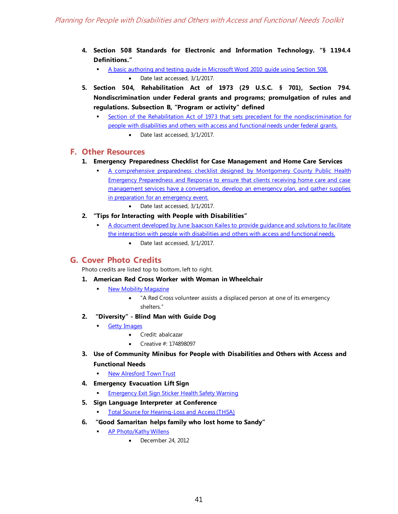- **4. Section 508 Standards for Electronic and Information Technology. "§ 1194.4 Definitions."**
	- [A basic authoring and testing guide in Microsoft Word 2010 guide using Section 508.](https://www.section508.gov/sites/default/files/Section%20508%20Basic%20Authoring%20and%20Testing%20Guide%20Word%202010%20v%201.0%201.29.2015%20FINAL.docx) • Date last accessed, 3/1/2017.
- **5. Section 504, Rehabilitation Act of 1973 (29 U.S.C. § 701), Section 794. Nondiscrimination under Federal grants and programs; promulgation of rules and regulations. Subsection B, "Program or activity" defined**
	- [Section of the Rehabilitation Act of 1973 that sets precedent for the nondiscrimination for](https://www.dol.gov/oasam/regs/statutes/sec504.htm)  [people with disabilities and others with access and functional needs under federal grants.](https://www.dol.gov/oasam/regs/statutes/sec504.htm) 
		- Date last accessed, 3/1/2017.

### <span id="page-41-0"></span>**F. Other Resources**

- **1. Emergency Preparedness Checklist for Case Management and Home Care Services**
	- [A comprehensive preparedness checklist designed by Montgomery County Public Health](http://www.cidrap.umn.edu/sites/default/files/public/php/321/321_checklist.pdf)  [Emergency Preparedness and Response to ensure that clients receiving home care and case](http://www.cidrap.umn.edu/sites/default/files/public/php/321/321_checklist.pdf)  management services have a conversation, develop an emergency plan, and gather supplies [in preparation for an emergency event.](http://www.cidrap.umn.edu/sites/default/files/public/php/321/321_checklist.pdf)
		- Date last accessed, 3/1/2017.
- **2. "Tips for Interacting with People with Disabilities"**
	- [A document developed by June Isaacson Kailes to provide guidance and solutions to facilitate](http://www.jik.com/pubs/TipsForInteracting%20final%202.14.11.pdf)  [the interaction with people with disabilities and others with access and functional needs.](http://www.jik.com/pubs/TipsForInteracting%20final%202.14.11.pdf) 
		- Date last accessed, 3/1/2017.

## <span id="page-41-1"></span>**G. Cover Photo Credits**

Photo credits are listed top to bottom, left to right.

- **1. American Red Cross Worker with Woman in Wheelchair**
	- [New Mobility Magazine](http://www.newmobility.com/2014/03/emergency-preparedness-people-disabilities/)
		- "A Red Cross volunteer assists a displaced person at one of its emergency shelters."
- **2. "Diversity" - Blind Man with Guide Dog**
	- **Getty Images** 
		- Credit: abalcazar
		- Creative #: 174898097
- **3. Use of Community Minibus for People with Disabilities and Others with Access and Functional Needs**
	- [New Alresford Town Trust](http://www.towntrust.org.uk/mini_bus.htm)
- **4. Emergency Evacuation Lift Sign**
	- [Emergency Exit Sign Sticker Health Safety Warning](http://www.ebay.co.uk/itm/Emer0078-Emergency-Exit-Sign-Sticker-Health-%20Safety-Warning-/141812349488)
- **5. Sign Language Interpreter at Conference**
	- [Total Source for Hearing-Loss and Access \(THSA\)](http://www.tsha.cc/what-we-do/interpreters/)
- **6. "Good Samaritan helps family who lost home to Sandy"**
	- [AP Photo/Kathy Willens](http://www.nydailynews.com/new-york/good-samaritan-helps-family-lost-home-sandy-article-1.1226582)
		- December 24, 2012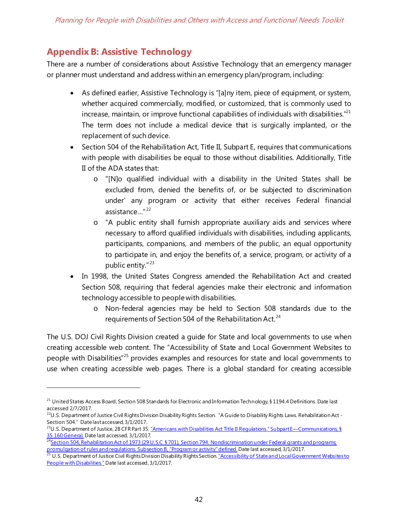# <span id="page-42-0"></span>**Appendix B: Assistive Technology**

 $\overline{a}$ 

There are a number of considerations about Assistive Technology that an emergency manager or planner must understand and address within an emergency plan/program, including:

- As defined earlier, Assistive Technology is "[a]ny item, piece of equipment, or system, whether acquired commercially, modified, or customized, that is commonly used to increase, maintain, or improve functional capabilities of individuals with disabilities." $^{21}$ The term does not include a medical device that is surgically implanted, or the replacement of such device.
- Section 504 of the Rehabilitation Act, Title II, Subpart E, requires that communications with people with disabilities be equal to those without disabilities. Additionally, Title II of the ADA states that:
	- o "[N]o qualified individual with a disability in the United States shall be excluded from, denied the benefits of, or be subjected to discrimination under' any program or activity that either receives Federal financial assistance…" [22](#page-42-2)
	- o "A public entity shall furnish appropriate auxiliary aids and services where necessary to afford qualified individuals with disabilities, including applicants, participants, companions, and members of the public, an equal opportunity to participate in, and enjoy the benefits of, a service, program, or activity of a public entity." [23](#page-42-3)
- In 1998, the United States Congress amended the Rehabilitation Act and created Section 508, requiring that federal agencies make their electronic and information technology accessible to people with disabilities.
	- o Non-federal agencies may be held to Section 508 standards due to the requirements of Section 504 of the Rehabilitation Act. $^{24}$  $^{24}$  $^{24}$

The U.S. DOJ Civil Rights Division created a guide for State and local governments to use when creating accessible web content. The "Accessibility of State and Local Government Websites to people with Disabilities"[25](#page-42-5) provides examples and resources for state and local governments to use when creating accessible web pages. There is a global standard for creating accessible

<span id="page-42-1"></span><sup>&</sup>lt;sup>21</sup> United States Access Board, Section 508 Standards for Electronic and Information Technology, § 1194.4 Definitions. Date last accessed 2/7/2017.

<span id="page-42-2"></span> $^{22}$ U.S. Department of Justice Civil Rights Division Disability Rights Section. "A Guide to Disability Rights Laws. Rehabilitation Act -Section 504." Date last accessed, 3/1/2017.

<span id="page-42-3"></span><sup>&</sup>lt;sup>23</sup>U.S. Department of Justice, 28 CFR Part 35. "Americans with Disabilities Act Title II Regulations." Subpart E—Communications, § <u>[35.160 General.](http://www.ada.gov/regs2010/titleII_2010/titleII_2010_regulations.htm#subparte)</u> Date last accessed, 3/1/2017.

<span id="page-42-4"></span><sup>&</sup>lt;sup>24</sup><u>Section 504, Rehabilitation Act of 1973 (29 U.S.C. § 701), Section 794. Nondiscrimination under Federal grants and programs;</u> <u>promulgation of rules and regulations. Subsection B, "Program or activity" defined.</u> Date last accessed, 3/1/2017.

<span id="page-42-5"></span><sup>&</sup>lt;sup>25</sup> U.S. Department of Justice Civil Rights Division Disability Rights Section. <u>"Accessibility of State and Local Government Websites to</u> [People with Disabilities."](http://www.ada.gov/websites2.htm) Date last accessed, 3/1/2017.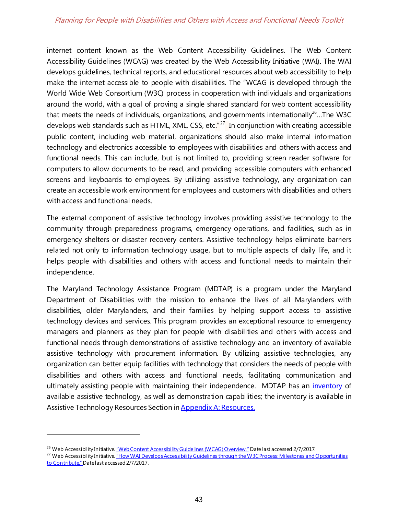internet content known as the Web Content Accessibility Guidelines. The Web Content Accessibility Guidelines (WCAG) was created by the Web Accessibility Initiative (WAI). The WAI develops guidelines, technical reports, and educational resources about web accessibility to help make the internet accessible to people with disabilities. The "WCAG is developed through the World Wide Web Consortium (W3C) process in cooperation with individuals and organizations around the world, with a goal of proving a single shared standard for web content accessibility that meets the needs of individuals, organizations, and governments internationally<sup>26</sup>...The W3C develops web standards such as HTML, XML, CSS, etc." $^{27}$  $^{27}$  $^{27}$  In conjunction with creating accessible public content, including web material, organizations should also make internal information technology and electronics accessible to employees with disabilities and others with access and functional needs. This can include, but is not limited to, providing screen reader software for computers to allow documents to be read, and providing accessible computers with enhanced screens and keyboards to employees. By utilizing assistive technology, any organization can create an accessible work environment for employees and customers with disabilities and others with access and functional needs.

The external component of assistive technology involves providing assistive technology to the community through preparedness programs, emergency operations, and facilities, such as in emergency shelters or disaster recovery centers. Assistive technology helps eliminate barriers related not only to information technology usage, but to multiple aspects of daily life, and it helps people with disabilities and others with access and functional needs to maintain their independence.

The Maryland Technology Assistance Program (MDTAP) is a program under the Maryland Department of Disabilities with the mission to enhance the lives of all Marylanders with disabilities, older Marylanders, and their families by helping support access to assistive technology devices and services. This program provides an exceptional resource to emergency managers and planners as they plan for people with disabilities and others with access and functional needs through demonstrations of assistive technology and an inventory of available assistive technology with procurement information. By utilizing assistive technologies, any organization can better equip facilities with technology that considers the needs of people with disabilities and others with access and functional needs, facilitating communication and ultimately assisting people with maintaining their independence. MDTAP has an *inventory* of available assistive technology, as well as demonstration capabilities; the inventory is available in Assistive Technology Resources Section i[n Appendix A: Resources.](#page-37-0)

<span id="page-43-1"></span><span id="page-43-0"></span><sup>&</sup>lt;sup>26</sup> Web Accessibility Initiative. <u>"Web Content Accessibility Guidelines (WCAG) Overview."</u> Date last accessed 2/7/2017.<br><sup>27</sup> Web Accessibility Initiative. <u>"How WAI Develops Accessibility Guidelines through the W3C Proce</u> [to Contribute."](https://www.w3.org/WAI/intro/w3c-process.php) Date last accessed 2/7/2017.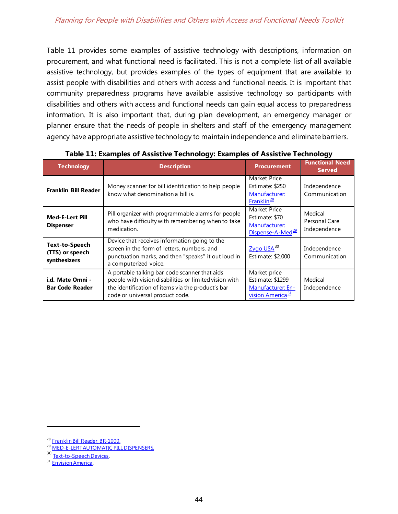Table 11 provides some examples of assistive technology with descriptions, information on procurement, and what functional need is facilitated. This is not a complete list of all available assistive technology, but provides examples of the types of equipment that are available to assist people with disabilities and others with access and functional needs. It is important that community preparedness programs have available assistive technology so participants with disabilities and others with access and functional needs can gain equal access to preparedness information. It is also important that, during plan development, an emergency manager or planner ensure that the needs of people in shelters and staff of the emergency management agency have appropriate assistive technology to maintain independence and eliminate barriers.

<span id="page-44-0"></span>

| <b>Technology</b>                                        | <b>Description</b>                                                                                                                                                                              | <b>Procurement</b>                                                                     | <b>Functional Need</b><br><b>Served</b>  |
|----------------------------------------------------------|-------------------------------------------------------------------------------------------------------------------------------------------------------------------------------------------------|----------------------------------------------------------------------------------------|------------------------------------------|
| Franklin Bill Reader                                     | Money scanner for bill identification to help people<br>know what denomination a bill is.                                                                                                       | <b>Market Price</b><br>Estimate: \$250<br>Manufacturer:<br>$Franklin^{\underline{28}}$ | Independence<br>Communication            |
| <b>Med-E-Lert Pill</b><br><b>Dispenser</b>               | Pill organizer with programmable alarms for people<br>who have difficulty with remembering when to take<br>medication.                                                                          | <b>Market Price</b><br>Estimate: \$70<br>Manufacturer:<br>Dispense-A-Med <sup>29</sup> | Medical<br>Personal Care<br>Independence |
| <b>Text-to-Speech</b><br>(TTS) or speech<br>synthesizers | Device that receives information going to the<br>screen in the form of letters, numbers, and<br>punctuation marks, and then "speaks" it out loud in<br>a computerized voice.                    | $Zyqo$ USA $^{30}$<br>Estimate: \$2,000                                                | Independence<br>Communication            |
| i.d. Mate Omni -<br><b>Bar Code Reader</b>               | A portable talking bar code scanner that aids<br>people with vision disabilities or limited vision with<br>the identification of items via the product's bar<br>code or universal product code. | Market price<br>Estimate: \$1299<br>Manufacturer: En-<br>vision America <sup>31</sup>  | Medical<br>Independence                  |

**Table 11: Examples of Assistive Technology: Examples of Assistive Technology**

<span id="page-44-1"></span><sup>&</sup>lt;sup>28</sup> [Franklin Bill Reader, BR-1000.](http://www.anybookreader.com/English/reading/US/bill.html)<br><sup>29</sup> MED-E-LERT AUTOMATIC PILL DISPENSERS.

<span id="page-44-3"></span><span id="page-44-2"></span><sup>30</sup> [Text-to-Speech Devices](https://www.zygo-usa.com/usa/index.php/text-to-speech-devices).<br><sup>31</sup> [Envision America](http://www.envisionamerica.com/).

<span id="page-44-4"></span>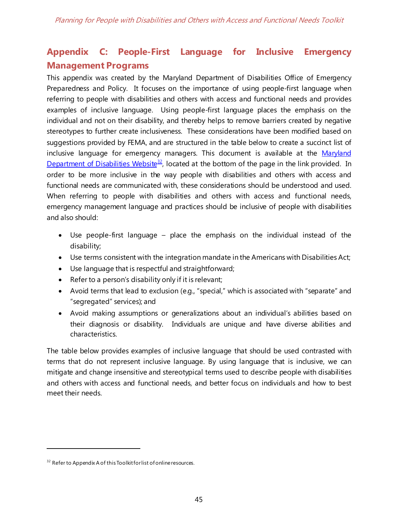# <span id="page-45-0"></span>**Appendix C: People-First Language for Inclusive Emergency Management Programs**

This appendix was created by the Maryland Department of Disabilities Office of Emergency Preparedness and Policy. It focuses on the importance of using people-first language when referring to people with disabilities and others with access and functional needs and provides examples of inclusive language. Using people-first language places the emphasis on the individual and not on their disability, and thereby helps to remove barriers created by negative stereotypes to further create inclusiveness. These considerations have been modified based on suggestions provided by FEMA, and are structured in the table below to create a succinct list of inclusive language for emergency managers. This document is available at the Maryland [Department of Disabilities Website](http://www.mdod.maryland.gov/ep/Pages/traininganded.aspx)<sup>32</sup>, located at the bottom of the page in the link provided. In order to be more inclusive in the way people with disabilities and others with access and functional needs are communicated with, these considerations should be understood and used. When referring to people with disabilities and others with access and functional needs, emergency management language and practices should be inclusive of people with disabilities and also should:

- Use people-first language place the emphasis on the individual instead of the disability;
- Use terms consistent with the integration mandate in the Americans with Disabilities Act;
- Use language that is respectful and straightforward;
- Refer to a person's disability only if it is relevant;
- Avoid terms that lead to exclusion (e.g., "special," which is associated with "separate" and "segregated" services); and
- Avoid making assumptions or generalizations about an individual's abilities based on their diagnosis or disability. Individuals are unique and have diverse abilities and characteristics.

The table below provides examples of inclusive language that should be used contrasted with terms that do not represent inclusive language. By using language that is inclusive, we can mitigate and change insensitive and stereotypical terms used to describe people with disabilities and others with access and functional needs, and better focus on individuals and how to best meet their needs.

<span id="page-45-1"></span><sup>&</sup>lt;sup>32</sup> Refer to Appendix A of this Toolkit for list of online resources.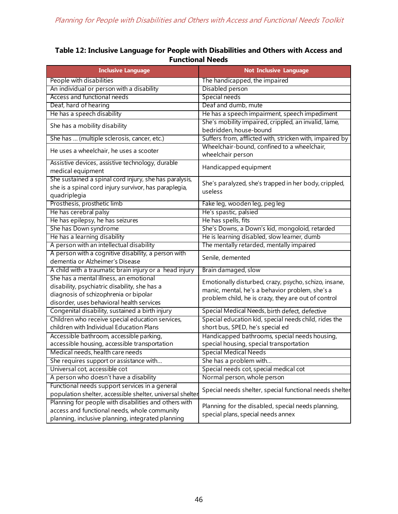## <span id="page-46-0"></span>**Table 12: Inclusive Language for People with Disabilities and Others with Access and Functional Needs**

<span id="page-46-1"></span>

| <b>Inclusive Language</b>                                 | <b>Not Inclusive Language</b>                            |
|-----------------------------------------------------------|----------------------------------------------------------|
| People with disabilities                                  | The handicapped, the impaired                            |
| An individual or person with a disability                 | Disabled person                                          |
| Access and functional needs                               | Special needs                                            |
| Deaf, hard of hearing                                     | Deaf and dumb, mute                                      |
| He has a speech disability                                | He has a speech impairment, speech impediment            |
| She has a mobility disability                             | She's mobility impaired, crippled, an invalid, lame,     |
|                                                           | bedridden, house-bound                                   |
| She has  (multiple sclerosis, cancer, etc.)               | Suffers from, afflicted with, stricken with, impaired by |
| He uses a wheelchair, he uses a scooter                   | Wheelchair-bound, confined to a wheelchair,              |
|                                                           | wheelchair person                                        |
| Assistive devices, assistive technology, durable          | Handicapped equipment                                    |
| medical equipment                                         |                                                          |
| She sustained a spinal cord injury, she has paralysis,    | She's paralyzed, she's trapped in her body, crippled,    |
| she is a spinal cord injury survivor, has paraplegia,     | useless                                                  |
| quadriplegia                                              |                                                          |
| Prosthesis, prosthetic limb                               | Fake leg, wooden leg, peg leg                            |
| He has cerebral palsy                                     | He's spastic, palsied                                    |
| He has epilepsy, he has seizures                          | He has spells, fits                                      |
| She has Down syndrome                                     | She's Downs, a Down's kid, mongoloid, retarded           |
| He has a learning disability                              | He is learning disabled, slow learner, dumb              |
| A person with an intellectual disability                  | The mentally retarded, mentally impaired                 |
| A person with a cognitive disability, a person with       | Senile, demented                                         |
| dementia or Alzheimer's Disease                           |                                                          |
| A child with a traumatic brain injury or a head injury    | Brain damaged, slow                                      |
| She has a mental illness, an emotional                    | Emotionally disturbed, crazy, psycho, schizo, insane,    |
| disability, psychiatric disability, she has a             | manic, mental, he's a behavior problem, she's a          |
| diagnosis of schizophrenia or bipolar                     | problem child, he is crazy, they are out of control      |
| disorder, uses behavioral health services                 |                                                          |
| Congenital disability, sustained a birth injury           | Special Medical Needs, birth defect, defective           |
| Children who receive special education services,          | Special education kid, special needs child, rides the    |
| children with Individual Education Plans                  | short bus, SPED, he's special ed                         |
| Accessible bathroom, accessible parking,                  | Handicapped bathrooms, special needs housing,            |
| accessible housing, accessible transportation             | special housing, special transportation                  |
| Medical needs, health care needs                          | <b>Special Medical Needs</b>                             |
| She requires support or assistance with                   | She has a problem with                                   |
| Universal cot, accessible cot                             | Special needs cot, special medical cot                   |
| A person who doesn't have a disability                    | Normal person, whole person                              |
| Functional needs support services in a general            |                                                          |
| population shelter, accessible shelter, universal shelter | Special needs shelter, special functional needs shelter  |
| Planning for people with disabilities and others with     | Planning for the disabled, special needs planning,       |
| access and functional needs, whole community              | special plans, special needs annex                       |
| planning, inclusive planning, integrated planning         |                                                          |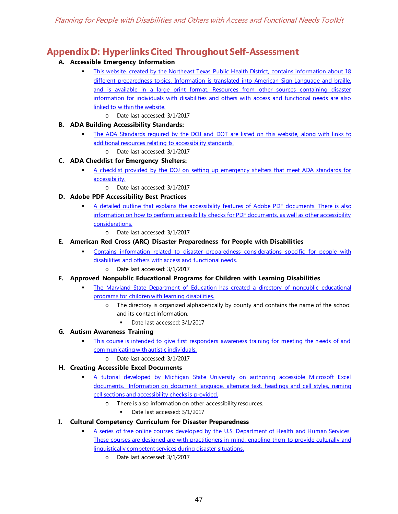# <span id="page-47-0"></span>**Appendix D: Hyperlinks Cited Throughout Self-Assessment**

### **A. Accessible Emergency Information**

- [This website, created by the Northeast Texas Public Health District, contains information about 18](http://www.accessibleemergencyinfo.com/)  [different preparedness topics. Information is translated into American Sign Language and braille,](http://www.accessibleemergencyinfo.com/)  [and is available in a large print format. Resources from other sources containing disaster](http://www.accessibleemergencyinfo.com/)  [information for individuals with disabilities and others with access and functional needs are also](http://www.accessibleemergencyinfo.com/)  [linked to within the website.](http://www.accessibleemergencyinfo.com/)
	- o Date last accessed: 3/1/2017
- **B. ADA Building Accessibility Standards:**
	- The ADA Standards required by the DOJ and DOT are listed on this website, along with links to [additional resources relating to accessibility standards.](https://www.access-board.gov/guidelines-and-standards/buildings-and-sites/about-the-ada-standards/ada-standards) 
		- o Date last accessed: 3/1/2017

#### **C. ADA Checklist for Emergency Shelters:**

- [A checklist provided by the DOJ on setting up emergency shelters that meet ADA standards for](https://www.ada.gov/pcatoolkit/chap7shelterchk.pdf)  [accessibility.](https://www.ada.gov/pcatoolkit/chap7shelterchk.pdf)
	- o Date last accessed: 3/1/2017

#### **D. Adobe PDF Accessibility Best Practices**

- [A detailed outline that explains the accessibility features of Adobe PDF documents. There is also](http://www.adobe.com/content/dam/Adobe/en/accessibility/products/acrobat/pdfs/acrobat-xi-pro-accessibility-best-practice-guide.pdf)  [information on how to perform accessibility checks for PDF documents, as well as other accessibility](http://www.adobe.com/content/dam/Adobe/en/accessibility/products/acrobat/pdfs/acrobat-xi-pro-accessibility-best-practice-guide.pdf)  [considerations.](http://www.adobe.com/content/dam/Adobe/en/accessibility/products/acrobat/pdfs/acrobat-xi-pro-accessibility-best-practice-guide.pdf)
	- o Date last accessed: 3/1/2017

#### **E. American Red Cross (ARC) Disaster Preparedness for People with Disabilities**

- [Contains information related to disaster preparedness considerations specific for people with](http://www.disastersrus.org/MyDisasters/disability/disability.pdf)  [disabilities and others with access and functional needs.](http://www.disastersrus.org/MyDisasters/disability/disability.pdf)
	- o Date last accessed: 3/1/2017
- **F. Approved Nonpublic Educational Programs for Children with Learning Disabilities**
	- [The Maryland State Department of Education has created a directory of nonpublic educational](http://nonpublicschoolsdb.marylandpublicschools.org/nonpublic/nsab_directory/ApprovedSchoolLocations.asp?Condition=SpecialEducation)  [programs for children with learning disabilities.](http://nonpublicschoolsdb.marylandpublicschools.org/nonpublic/nsab_directory/ApprovedSchoolLocations.asp?Condition=SpecialEducation) 
		- o The directory is organized alphabetically by county and contains the name of the school and its contact information.
			- Date last accessed: 3/1/2017

#### **G. Autism Awareness Training**

- [This course is intended to give first responders awareness training for meeting the needs of and](http://prevent-educate.org/index.html)  [communicating with autistic individuals.](http://prevent-educate.org/index.html)
	- o Date last accessed: 3/1/2017

#### **H. Creating Accessible Excel Documents**

- [A tutorial developed by Michigan State University on authoring accessible Microsoft Excel](http://webaccess.msu.edu/Tutorials/excel.html)  [documents. Information on document language, alternate text, headings and cell styles, naming](http://webaccess.msu.edu/Tutorials/excel.html)  [cell sections and accessibility checks is provided.](http://webaccess.msu.edu/Tutorials/excel.html) 
	- o There is also information on other accessibility resources.
		- Date last accessed: 3/1/2017
- **I. Cultural Competency Curriculum for Disaster Preparedness**
	- [A series of free online courses developed by the U.S. Department of Health and Human Services.](https://cccdpcr.thinkculturalhealth.hhs.gov/default.asp)  These courses are designed are with practitioners in mind, enabling them to provide culturally and [linguistically competent services during disaster situations.](https://cccdpcr.thinkculturalhealth.hhs.gov/default.asp)
		- o Date last accessed: 3/1/2017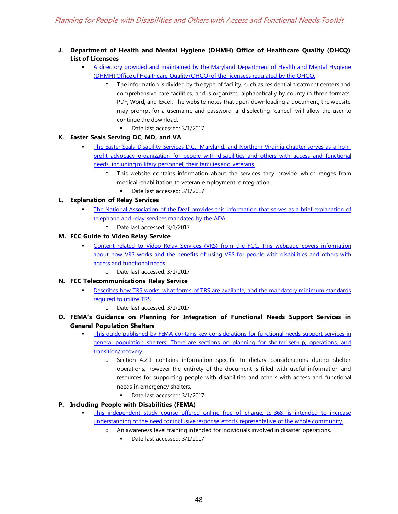- **J. Department of Health and Mental Hygiene (DHMH) Office of Healthcare Quality (OHCQ) List of Licensees**
	- [A directory provided and maintained by the Maryland Department of Health and Mental Hygiene](http://dhmh.maryland.gov/ohcq/Pages/Licensee-Directory.aspx)  [\(DHMH\) Office of Healthcare Quality \(OHCQ\) of the licensees regulated by the OHCQ.](http://dhmh.maryland.gov/ohcq/Pages/Licensee-Directory.aspx) 
		- o The information is divided by the type of facility, such as residential treatment centers and comprehensive care facilities, and is organized alphabetically by county in three formats, PDF, Word, and Excel. The website notes that upon downloading a document, the website may prompt for a username and password, and selecting "cancel" will allow the user to continue the download.
			- Date last accessed: 3/1/2017

#### **K. Easter Seals Serving DC, MD, and VA**

- [The Easter Seals Disability Services D.C., Maryland, and Northern Virginia chapter serves as a non](http://www.easterseals.com/DCMDVA/)[profit advocacy organization for people with disabilities and others with access and functional](http://www.easterseals.com/DCMDVA/)  [needs, including military personnel, their families and veterans.](http://www.easterseals.com/DCMDVA/) 
	- o This website contains information about the services they provide, which ranges from medical rehabilitation to veteran employment reintegration.
		- Date last accessed: 3/1/2017

#### **L. Explanation of Relay Services**

- [The National Association of the Deaf provides this information that serves as a brief explanation of](https://nad.org/issues/telephone-and-relay-services/relay-services)  [telephone and relay services mandated by the ADA.](https://nad.org/issues/telephone-and-relay-services/relay-services)
	- o Date last accessed: 3/1/2017

#### **M. FCC Guide to Video Relay Service**

- [Content related to Video Relay Services \(VRS\) from the FCC. This webpage covers information](https://www.fcc.gov/consumers/guides/video-relay-services)  [about how VRS works and the benefits of using VRS for people with disabilities and others with](https://www.fcc.gov/consumers/guides/video-relay-services)  [access and functional needs.](https://www.fcc.gov/consumers/guides/video-relay-services)
	- o Date last accessed: 3/1/2017
- **N. FCC Telecommunications Relay Service**
	- [Describes how TRS works, what forms of TRS are available, and the mandatory minimum standards](https://www.fcc.gov/consumers/guides/telecommunications-relay-service-trs)  [required to utilize TRS.](https://www.fcc.gov/consumers/guides/telecommunications-relay-service-trs)
		- o Date last accessed: 3/1/2017
- **O. FEMA's Guidance on Planning for Integration of Functional Needs Support Services in General Population Shelters**
	- [This guide published by FEMA contains key considerations for functional needs support services in](https://www.fema.gov/pdf/about/odic/fnss_guidance.pdf)  [general population shelters. There are sections on planning for shelter set-up, operations, and](https://www.fema.gov/pdf/about/odic/fnss_guidance.pdf)  [transition/recovery.](https://www.fema.gov/pdf/about/odic/fnss_guidance.pdf) 
		- o Section 4.2.1 contains information specific to dietary considerations during shelter operations, however the entirety of the document is filled with useful information and resources for supporting people with disabilities and others with access and functional needs in emergency shelters.
			- Date last accessed: 3/1/2017

#### **P. Including People with Disabilities (FEMA)**

- [This independent study course offered online free of charge, IS-368, is intended to increase](https://training.fema.gov/is/courseoverview.aspx?code=IS-368)  [understanding of the need for inclusive response efforts representative of the whole community.](https://training.fema.gov/is/courseoverview.aspx?code=IS-368) 
	- o An awareness level training intended for individuals involved in disaster operations.
		- Date last accessed: 3/1/2017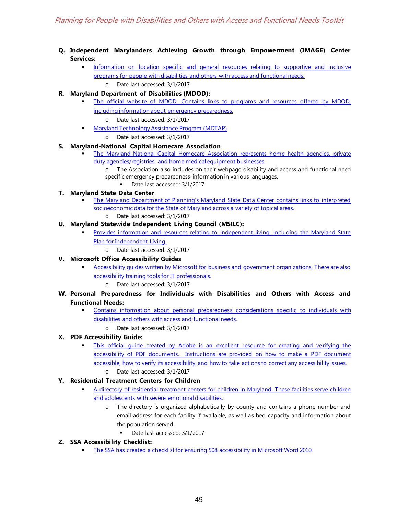- **Q. Independent Marylanders Achieving Growth through Empowerment (IMAGE) Center Services:**
	- [Information on location specific and general resources relating to supportive and inclusive](http://www.imagemd.org/services.html)  [programs for people with disabilities and others with access and functional needs.](http://www.imagemd.org/services.html)  o Date last accessed: 3/1/2017
- **R. Maryland Department of Disabilities (MDOD):**
	- [The official website of MDOD. Contains links to programs and resources offered by MDOD,](http://mdod.maryland.gov/Pages/Home.aspx)  [including information about emergency preparedness.](http://mdod.maryland.gov/Pages/Home.aspx)
		- Date last accessed: 3/1/2017
	- [Maryland Technology Assistance Program \(MDTAP\)](https://sites.google.com/site/mdtapinventory/)  o Date last accessed: 3/1/2017
- **S. Maryland-National Capital Homecare Association**
	- [The Maryland-National Capital Homecare Association represents home health agencies, private](http://www.mncha.org/)  duty agencies/registries, and home medical equipment businesses.
		- The Association also includes on their webpage disability and access and functional need specific emergency preparedness information in various languages.
			- Date last accessed: 3/1/2017
- **T. Maryland State Data Center**
	- [The Maryland Department of Planning's Maryland State Data Center contains links to interpreted](http://planning.maryland.gov/msdc/)  [socioeconomic data for the State of Maryland across a variety of topical areas.](http://planning.maryland.gov/msdc/)
		- o Date last accessed: 3/1/2017
- **U. Maryland Statewide Independent Living Council (MSILC):**
	- [Provides information and resources relating to independent living, including the Maryland State](http://www.msilc.org/map.html)  Plan [for Independent Living.](http://www.msilc.org/map.html)
		- o Date last accessed: 3/1/2017
- **V. Microsoft Office Accessibility Guides**
	- [Accessibility guides written by Microsoft for business and government organizations. There are also](https://www.microsoft.com/enable/business/)  [accessibility training tools for IT professionals.](https://www.microsoft.com/enable/business/)
		- Date last accessed: 3/1/2017
- **W. Personal Preparedness for Individuals with Disabilities and Others with Access and Functional Needs:**
	- [Contains information about personal preparedness considerations specific to individuals with](https://www.ready.gov/individuals-access-functional-needs)  [disabilities and others with access and functional needs.](https://www.ready.gov/individuals-access-functional-needs) 
		- o Date last accessed: 3/1/2017
- **X. PDF Accessibility Guide:**
	- [This official guide created by Adobe is an excellent resource for creating and verifying the](https://helpx.adobe.com/acrobat/using/create-verify-pdf-accessibility.html?trackingid=KACNN#Headings)  [accessibility of PDF documents. Instructions are provided on how to make a PDF document](https://helpx.adobe.com/acrobat/using/create-verify-pdf-accessibility.html?trackingid=KACNN#Headings)  [accessible, how to verify its accessibility, and how to take actions to correct any accessibility issues.](https://helpx.adobe.com/acrobat/using/create-verify-pdf-accessibility.html?trackingid=KACNN#Headings)
		- o Date last accessed: 3/1/2017
- **Y. Residential Treatment Centers for Children**
	- [A directory of residential treatment centers for children in Maryland. These facilities serve children](http://www.mdcoalition.org/resources/pages/residential-treatment-centers)  [and adolescents with severe emotional disabilities.](http://www.mdcoalition.org/resources/pages/residential-treatment-centers) 
		- o The directory is organized alphabetically by county and contains a phone number and email address for each facility if available, as well as bed capacity and information about the population served.
			- Date last accessed: 3/1/2017
- **Z. SSA Accessibility Checklist:**
	- The SSA has created a checklist for ensuring 508 accessibility in Microsoft Word 2010.